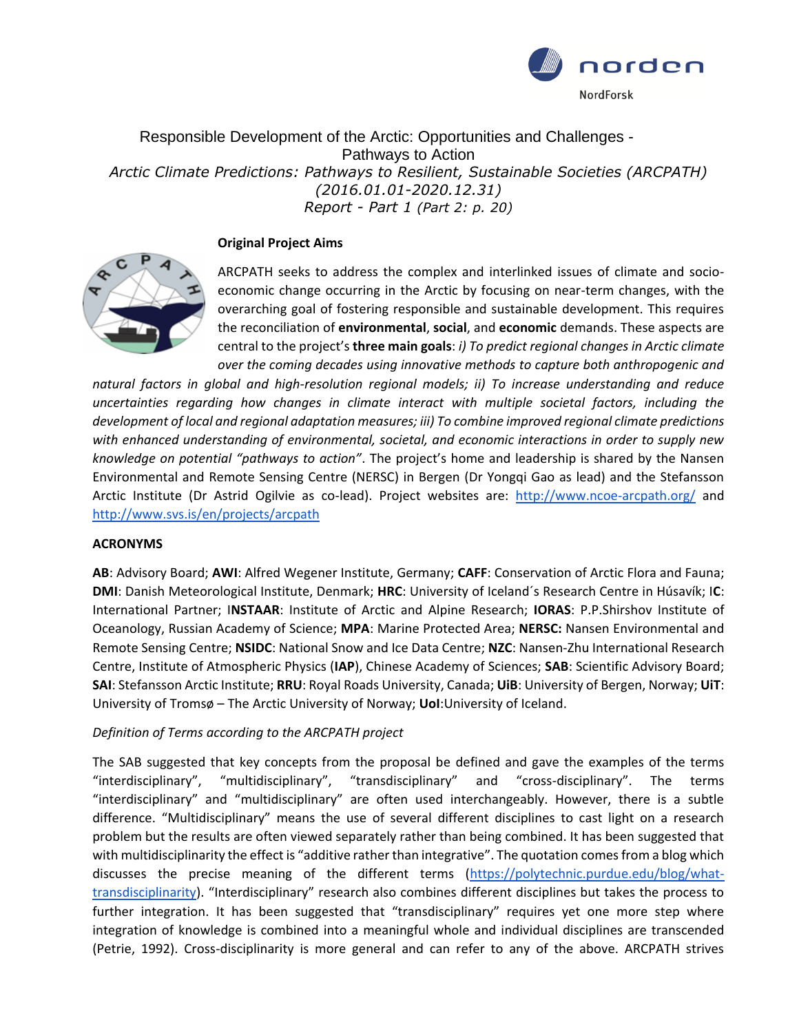

Responsible Development of the Arctic: Opportunities and Challenges - Pathways to Action *Arctic Climate Predictions: Pathways to Resilient, Sustainable Societies (ARCPATH) (2016.01.01-2020.12.31) Report - Part 1 (Part 2: p. 20)*

### **Original Project Aims**



ARCPATH seeks to address the complex and interlinked issues of climate and socioeconomic change occurring in the Arctic by focusing on near-term changes, with the overarching goal of fostering responsible and sustainable development. This requires the reconciliation of **environmental**, **social**, and **economic** demands. These aspects are central to the project's **three main goals**: *i) To predict regional changes in Arctic climate over the coming decades using innovative methods to capture both anthropogenic and* 

*natural factors in global and high-resolution regional models; ii) To increase understanding and reduce uncertainties regarding how changes in climate interact with multiple societal factors, including the development of local and regional adaptation measures; iii) To combine improved regional climate predictions with enhanced understanding of environmental, societal, and economic interactions in order to supply new knowledge on potential "pathways to action"*. The project's home and leadership is shared by the Nansen Environmental and Remote Sensing Centre (NERSC) in Bergen (Dr Yongqi Gao as lead) and the Stefansson Arctic Institute (Dr Astrid Ogilvie as co-lead). Project websites are: <http://www.ncoe-arcpath.org/> and <http://www.svs.is/en/projects/arcpath>

### **ACRONYMS**

**AB**: Advisory Board; **AWI**: Alfred Wegener Institute, Germany; **CAFF**: Conservation of Arctic Flora and Fauna; **DMI**: Danish Meteorological Institute, Denmark; **HRC**: University of Iceland´s Research Centre in Húsavík; I**C**: International Partner; I**NSTAAR**: Institute of Arctic and Alpine Research; **IORAS**: P.P.Shirshov Institute of Oceanology, Russian Academy of Science; **MPA**: Marine Protected Area; **NERSC:** Nansen Environmental and Remote Sensing Centre; **NSIDC**: National Snow and Ice Data Centre; **NZC**: Nansen-Zhu International Research Centre, Institute of Atmospheric Physics (**IAP**), Chinese Academy of Sciences; **SAB**: Scientific Advisory Board; **SAI**: Stefansson Arctic Institute; **RRU**: Royal Roads University, Canada; **UiB**: University of Bergen, Norway; **UiT**: University of Tromsø – The Arctic University of Norway; **UoI**:University of Iceland.

### *Definition of Terms according to the ARCPATH project*

The SAB suggested that key concepts from the proposal be defined and gave the examples of the terms "interdisciplinary", "multidisciplinary", "transdisciplinary" and "cross-disciplinary". The terms "interdisciplinary" and "multidisciplinary" are often used interchangeably. However, there is a subtle difference. "Multidisciplinary" means the use of several different disciplines to cast light on a research problem but the results are often viewed separately rather than being combined. It has been suggested that with multidisciplinarity the effect is "additive rather than integrative". The quotation comes from a blog which discusses the precise meaning of the different terms [\(https://polytechnic.purdue.edu/blog/what](https://polytechnic.purdue.edu/blog/what-transdisciplinarity)[transdisciplinarity](https://polytechnic.purdue.edu/blog/what-transdisciplinarity)). "Interdisciplinary" research also combines different disciplines but takes the process to further integration. It has been suggested that "transdisciplinary" requires yet one more step where integration of knowledge is combined into a meaningful whole and individual disciplines are transcended (Petrie, 1992). Cross-disciplinarity is more general and can refer to any of the above. ARCPATH strives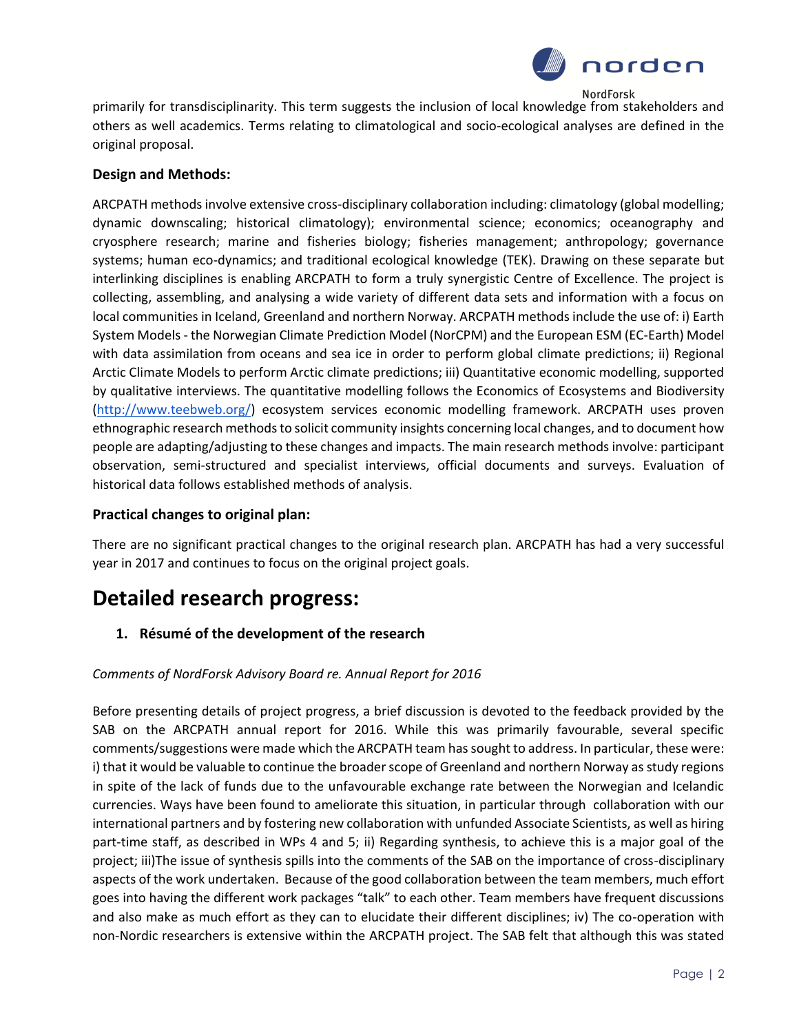

primarily for transdisciplinarity. This term suggests the inclusion of local knowledge from stakeholders and others as well academics. Terms relating to climatological and socio-ecological analyses are defined in the original proposal.

### **Design and Methods:**

ARCPATH methods involve extensive cross-disciplinary collaboration including: climatology (global modelling; dynamic downscaling; historical climatology); environmental science; economics; oceanography and cryosphere research; marine and fisheries biology; fisheries management; anthropology; governance systems; human eco-dynamics; and traditional ecological knowledge (TEK). Drawing on these separate but interlinking disciplines is enabling ARCPATH to form a truly synergistic Centre of Excellence. The project is collecting, assembling, and analysing a wide variety of different data sets and information with a focus on local communities in Iceland, Greenland and northern Norway. ARCPATH methods include the use of: i) Earth System Models - the Norwegian Climate Prediction Model (NorCPM) and the European ESM (EC-Earth) Model with data assimilation from oceans and sea ice in order to perform global climate predictions; ii) Regional Arctic Climate Models to perform Arctic climate predictions; iii) Quantitative economic modelling, supported by qualitative interviews. The quantitative modelling follows the Economics of Ecosystems and Biodiversity [\(http://www.teebweb.org/\)](https://ex2.unak.is/owa/redir.aspx?C=-rLwdRP8vUS5pknok2iUkqvKEP1iEtIIeH3CPzYRF2M8DqZTZY3fMb1nYuttqUZ4kq1U1bJn-1M.&URL=http%3a%2f%2fwww.teebweb.org%2f) ecosystem services economic modelling framework. ARCPATH uses proven ethnographic research methods to solicit community insights concerning local changes, and to document how people are adapting/adjusting to these changes and impacts. The main research methods involve: participant observation, semi-structured and specialist interviews, official documents and surveys. Evaluation of historical data follows established methods of analysis.

### **Practical changes to original plan:**

There are no significant practical changes to the original research plan. ARCPATH has had a very successful year in 2017 and continues to focus on the original project goals.

# **Detailed research progress:**

**1. Résumé of the development of the research**

### *Comments of NordForsk Advisory Board re. Annual Report for 2016*

Before presenting details of project progress, a brief discussion is devoted to the feedback provided by the SAB on the ARCPATH annual report for 2016. While this was primarily favourable, several specific comments/suggestions were made which the ARCPATH team has sought to address. In particular, these were: i) that it would be valuable to continue the broader scope of Greenland and northern Norway as study regions in spite of the lack of funds due to the unfavourable exchange rate between the Norwegian and Icelandic currencies. Ways have been found to ameliorate this situation, in particular through collaboration with our international partners and by fostering new collaboration with unfunded Associate Scientists, as well as hiring part-time staff, as described in WPs 4 and 5; ii) Regarding synthesis, to achieve this is a major goal of the project; iii)The issue of synthesis spills into the comments of the SAB on the importance of cross-disciplinary aspects of the work undertaken. Because of the good collaboration between the team members, much effort goes into having the different work packages "talk" to each other. Team members have frequent discussions and also make as much effort as they can to elucidate their different disciplines; iv) The co-operation with non-Nordic researchers is extensive within the ARCPATH project. The SAB felt that although this was stated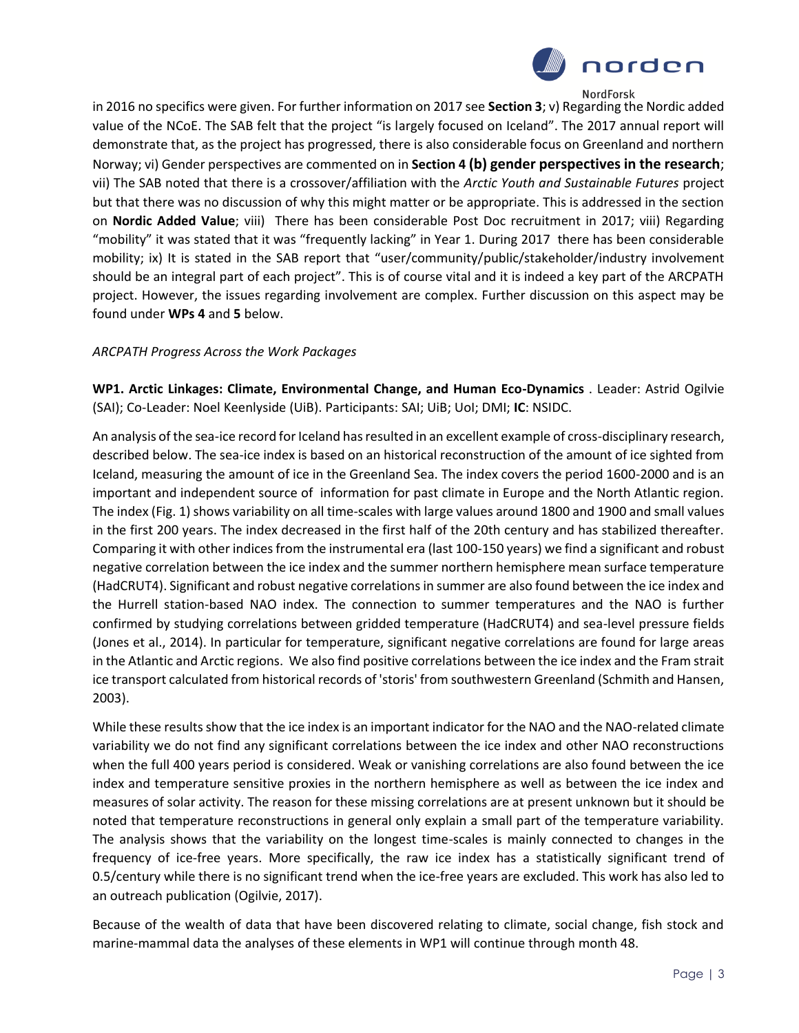

in 2016 no specifics were given. For further information on 2017 see **Section 3**; v) Regarding the Nordic added value of the NCoE. The SAB felt that the project "is largely focused on Iceland". The 2017 annual report will demonstrate that, as the project has progressed, there is also considerable focus on Greenland and northern Norway; vi) Gender perspectives are commented on in **Section 4 (b) gender perspectives in the research**; vii) The SAB noted that there is a crossover/affiliation with the *Arctic Youth and Sustainable Futures* project but that there was no discussion of why this might matter or be appropriate. This is addressed in the section on **Nordic Added Value**; viii) There has been considerable Post Doc recruitment in 2017; viii) Regarding "mobility" it was stated that it was "frequently lacking" in Year 1. During 2017 there has been considerable mobility; ix) It is stated in the SAB report that "user/community/public/stakeholder/industry involvement should be an integral part of each project". This is of course vital and it is indeed a key part of the ARCPATH project. However, the issues regarding involvement are complex. Further discussion on this aspect may be found under **WPs 4** and **5** below.

### *ARCPATH Progress Across the Work Packages*

**WP1. Arctic Linkages: Climate, Environmental Change, and Human Eco-Dynamics** . Leader: Astrid Ogilvie (SAI); Co-Leader: Noel Keenlyside (UiB). Participants: SAI; UiB; UoI; DMI; **IC**: NSIDC.

An analysis of the sea-ice record for Iceland has resulted in an excellent example of cross-disciplinary research, described below. The sea-ice index is based on an historical reconstruction of the amount of ice sighted from Iceland, measuring the amount of ice in the Greenland Sea. The index covers the period 1600-2000 and is an important and independent source of information for past climate in Europe and the North Atlantic region. The index (Fig. 1) shows variability on all time-scales with large values around 1800 and 1900 and small values in the first 200 years. The index decreased in the first half of the 20th century and has stabilized thereafter. Comparing it with other indices from the instrumental era (last 100-150 years) we find a significant and robust negative correlation between the ice index and the summer northern hemisphere mean surface temperature (HadCRUT4). Significant and robust negative correlations in summer are also found between the ice index and the Hurrell station-based NAO index. The connection to summer temperatures and the NAO is further confirmed by studying correlations between gridded temperature (HadCRUT4) and sea-level pressure fields (Jones et al., 2014). In particular for temperature, significant negative correlations are found for large areas in the Atlantic and Arctic regions. We also find positive correlations between the ice index and the Fram strait ice transport calculated from historical records of 'storis' from southwestern Greenland (Schmith and Hansen, 2003).

While these results show that the ice index is an important indicator for the NAO and the NAO-related climate variability we do not find any significant correlations between the ice index and other NAO reconstructions when the full 400 years period is considered. Weak or vanishing correlations are also found between the ice index and temperature sensitive proxies in the northern hemisphere as well as between the ice index and measures of solar activity. The reason for these missing correlations are at present unknown but it should be noted that temperature reconstructions in general only explain a small part of the temperature variability. The analysis shows that the variability on the longest time-scales is mainly connected to changes in the frequency of ice-free years. More specifically, the raw ice index has a statistically significant trend of 0.5/century while there is no significant trend when the ice-free years are excluded. This work has also led to an outreach publication (Ogilvie, 2017).

Because of the wealth of data that have been discovered relating to climate, social change, fish stock and marine-mammal data the analyses of these elements in WP1 will continue through month 48.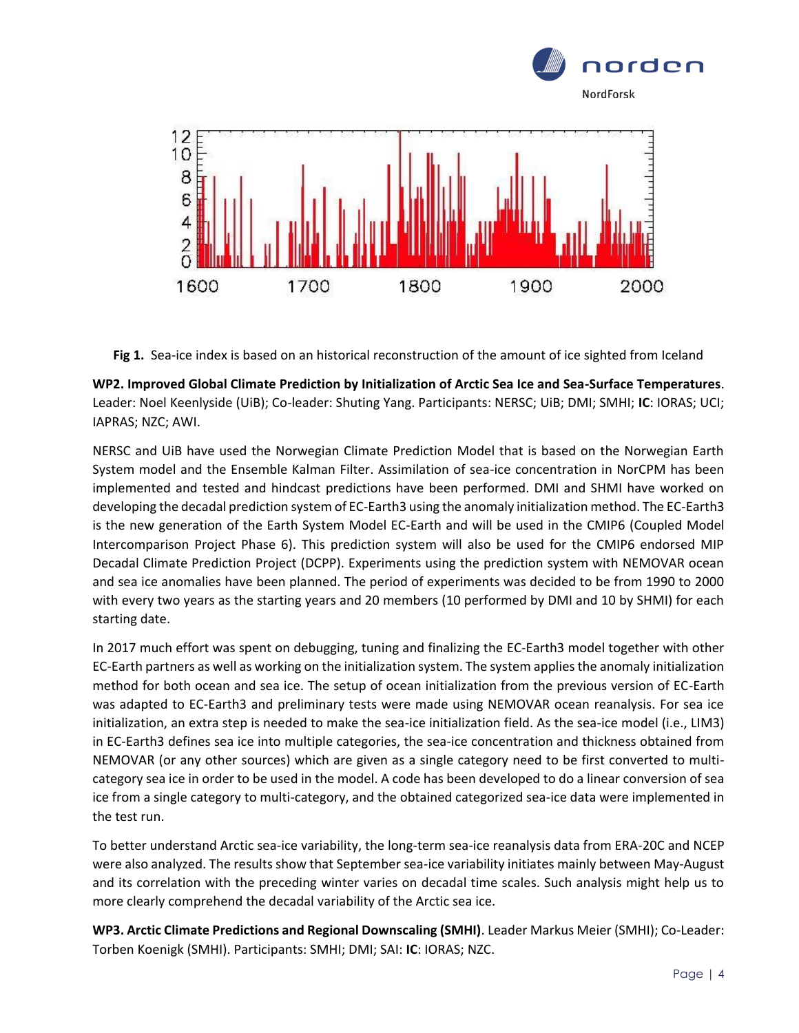

**Fig 1.** Sea-ice index is based on an historical reconstruction of the amount of ice sighted from Iceland

**WP2. Improved Global Climate Prediction by Initialization of Arctic Sea Ice and Sea-Surface Temperatures**. Leader: Noel Keenlyside (UiB); Co-leader: Shuting Yang. Participants: NERSC; UiB; DMI; SMHI; **IC**: IORAS; UCI; IAPRAS; NZC; AWI.

NERSC and UiB have used the Norwegian Climate Prediction Model that is based on the Norwegian Earth System model and the Ensemble Kalman Filter. Assimilation of sea-ice concentration in NorCPM has been implemented and tested and hindcast predictions have been performed. DMI and SHMI have worked on developing the decadal prediction system of EC-Earth3 using the anomaly initialization method. The EC-Earth3 is the new generation of the Earth System Model EC-Earth and will be used in the CMIP6 (Coupled Model Intercomparison Project Phase 6). This prediction system will also be used for the CMIP6 endorsed MIP Decadal Climate Prediction Project (DCPP). Experiments using the prediction system with NEMOVAR ocean and sea ice anomalies have been planned. The period of experiments was decided to be from 1990 to 2000 with every two years as the starting years and 20 members (10 performed by DMI and 10 by SHMI) for each starting date.

In 2017 much effort was spent on debugging, tuning and finalizing the EC-Earth3 model together with other EC-Earth partners as well as working on the initialization system. The system applies the anomaly initialization method for both ocean and sea ice. The setup of ocean initialization from the previous version of EC-Earth was adapted to EC-Earth3 and preliminary tests were made using NEMOVAR ocean reanalysis. For sea ice initialization, an extra step is needed to make the sea-ice initialization field. As the sea-ice model (i.e., LIM3) in EC-Earth3 defines sea ice into multiple categories, the sea-ice concentration and thickness obtained from NEMOVAR (or any other sources) which are given as a single category need to be first converted to multicategory sea ice in order to be used in the model. A code has been developed to do a linear conversion of sea ice from a single category to multi-category, and the obtained categorized sea-ice data were implemented in the test run.

To better understand Arctic sea-ice variability, the long-term sea-ice reanalysis data from ERA-20C and NCEP were also analyzed. The results show that September sea-ice variability initiates mainly between May-August and its correlation with the preceding winter varies on decadal time scales. Such analysis might help us to more clearly comprehend the decadal variability of the Arctic sea ice.

**WP3. Arctic Climate Predictions and Regional Downscaling (SMHI)**. Leader Markus Meier (SMHI); Co-Leader: Torben Koenigk (SMHI). Participants: SMHI; DMI; SAI: **IC**: IORAS; NZC.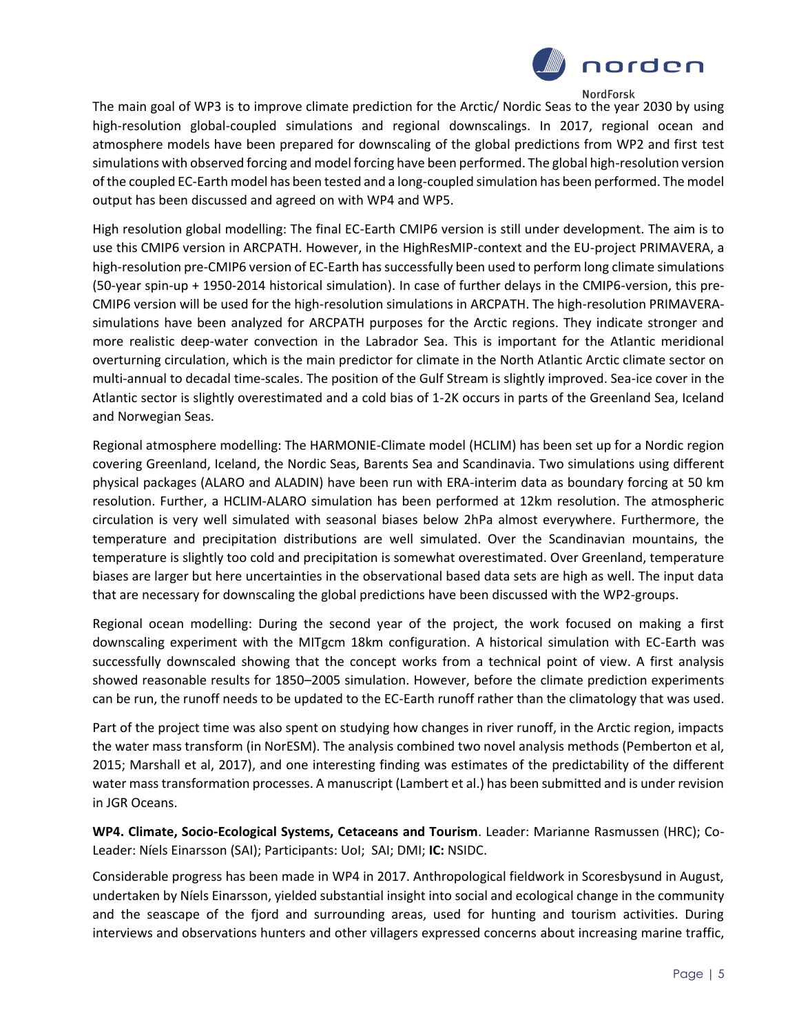

The main goal of WP3 is to improve climate prediction for the Arctic/ Nordic Seas to the year 2030 by using high-resolution global-coupled simulations and regional downscalings. In 2017, regional ocean and atmosphere models have been prepared for downscaling of the global predictions from WP2 and first test simulations with observed forcing and model forcing have been performed. The global high-resolution version of the coupled EC-Earth model has been tested and a long-coupled simulation has been performed. The model output has been discussed and agreed on with WP4 and WP5.

High resolution global modelling: The final EC-Earth CMIP6 version is still under development. The aim is to use this CMIP6 version in ARCPATH. However, in the HighResMIP-context and the EU-project PRIMAVERA, a high-resolution pre-CMIP6 version of EC-Earth has successfully been used to perform long climate simulations (50-year spin-up + 1950-2014 historical simulation). In case of further delays in the CMIP6-version, this pre-CMIP6 version will be used for the high-resolution simulations in ARCPATH. The high-resolution PRIMAVERAsimulations have been analyzed for ARCPATH purposes for the Arctic regions. They indicate stronger and more realistic deep-water convection in the Labrador Sea. This is important for the Atlantic meridional overturning circulation, which is the main predictor for climate in the North Atlantic Arctic climate sector on multi-annual to decadal time-scales. The position of the Gulf Stream is slightly improved. Sea-ice cover in the Atlantic sector is slightly overestimated and a cold bias of 1-2K occurs in parts of the Greenland Sea, Iceland and Norwegian Seas.

Regional atmosphere modelling: The HARMONIE-Climate model (HCLIM) has been set up for a Nordic region covering Greenland, Iceland, the Nordic Seas, Barents Sea and Scandinavia. Two simulations using different physical packages (ALARO and ALADIN) have been run with ERA-interim data as boundary forcing at 50 km resolution. Further, a HCLIM-ALARO simulation has been performed at 12km resolution. The atmospheric circulation is very well simulated with seasonal biases below 2hPa almost everywhere. Furthermore, the temperature and precipitation distributions are well simulated. Over the Scandinavian mountains, the temperature is slightly too cold and precipitation is somewhat overestimated. Over Greenland, temperature biases are larger but here uncertainties in the observational based data sets are high as well. The input data that are necessary for downscaling the global predictions have been discussed with the WP2-groups.

Regional ocean modelling: During the second year of the project, the work focused on making a first downscaling experiment with the MITgcm 18km configuration. A historical simulation with EC-Earth was successfully downscaled showing that the concept works from a technical point of view. A first analysis showed reasonable results for 1850–2005 simulation. However, before the climate prediction experiments can be run, the runoff needs to be updated to the EC-Earth runoff rather than the climatology that was used.

Part of the project time was also spent on studying how changes in river runoff, in the Arctic region, impacts the water mass transform (in NorESM). The analysis combined two novel analysis methods (Pemberton et al, 2015; Marshall et al, 2017), and one interesting finding was estimates of the predictability of the different water mass transformation processes. A manuscript (Lambert et al.) has been submitted and is under revision in JGR Oceans.

**WP4. Climate, Socio-Ecological Systems, Cetaceans and Tourism**. Leader: Marianne Rasmussen (HRC); Co-Leader: Níels Einarsson (SAI); Participants: UoI; SAI; DMI; **IC:** NSIDC.

Considerable progress has been made in WP4 in 2017. Anthropological fieldwork in Scoresbysund in August, undertaken by Níels Einarsson, yielded substantial insight into social and ecological change in the community and the seascape of the fjord and surrounding areas, used for hunting and tourism activities. During interviews and observations hunters and other villagers expressed concerns about increasing marine traffic,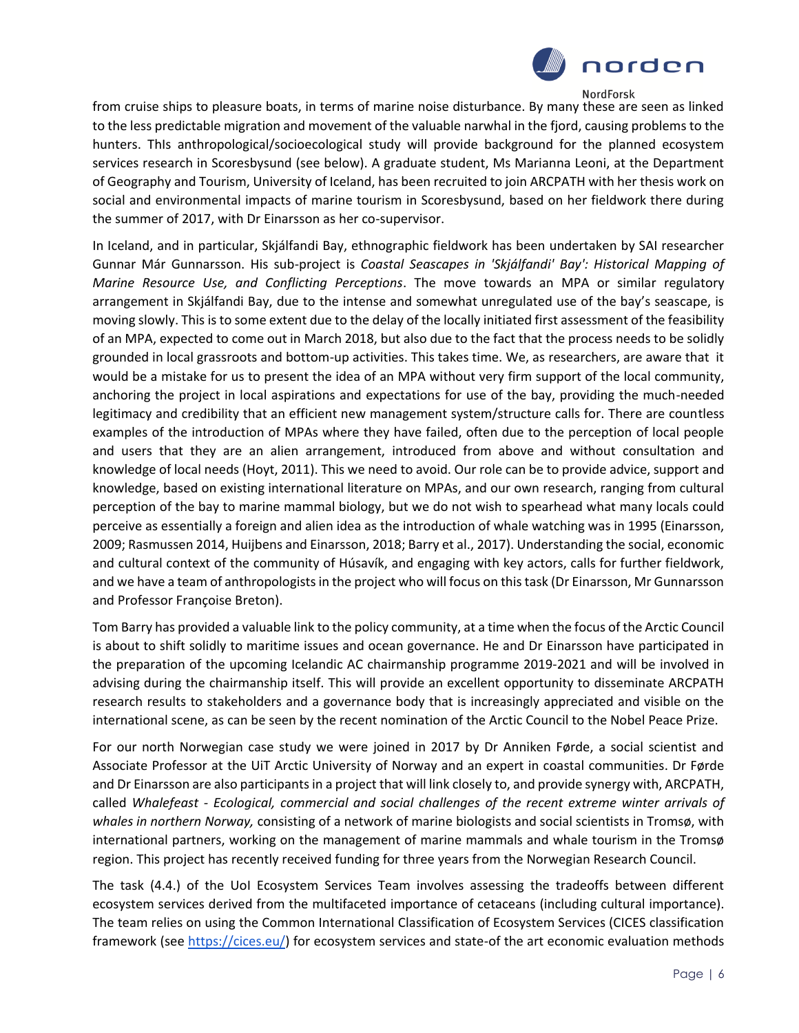

from cruise ships to pleasure boats, in terms of marine noise disturbance. By many these are seen as linked to the less predictable migration and movement of the valuable narwhal in the fjord, causing problems to the hunters. ThIs anthropological/socioecological study will provide background for the planned ecosystem services research in Scoresbysund (see below). A graduate student, Ms Marianna Leoni, at the Department of Geography and Tourism, University of Iceland, has been recruited to join ARCPATH with her thesis work on social and environmental impacts of marine tourism in Scoresbysund, based on her fieldwork there during the summer of 2017, with Dr Einarsson as her co-supervisor.

In Iceland, and in particular, Skjálfandi Bay, ethnographic fieldwork has been undertaken by SAI researcher Gunnar Már Gunnarsson. His sub-project is *Coastal Seascapes in 'Skjálfandi' Bay': Historical Mapping of Marine Resource Use, and Conflicting Perceptions*. The move towards an MPA or similar regulatory arrangement in Skjálfandi Bay, due to the intense and somewhat unregulated use of the bay's seascape, is moving slowly. This is to some extent due to the delay of the locally initiated first assessment of the feasibility of an MPA, expected to come out in March 2018, but also due to the fact that the process needs to be solidly grounded in local grassroots and bottom-up activities. This takes time. We, as researchers, are aware that it would be a mistake for us to present the idea of an MPA without very firm support of the local community, anchoring the project in local aspirations and expectations for use of the bay, providing the much-needed legitimacy and credibility that an efficient new management system/structure calls for. There are countless examples of the introduction of MPAs where they have failed, often due to the perception of local people and users that they are an alien arrangement, introduced from above and without consultation and knowledge of local needs (Hoyt, 2011). This we need to avoid. Our role can be to provide advice, support and knowledge, based on existing international literature on MPAs, and our own research, ranging from cultural perception of the bay to marine mammal biology, but we do not wish to spearhead what many locals could perceive as essentially a foreign and alien idea as the introduction of whale watching was in 1995 (Einarsson, 2009; Rasmussen 2014, Huijbens and Einarsson, 2018; Barry et al., 2017). Understanding the social, economic and cultural context of the community of Húsavík, and engaging with key actors, calls for further fieldwork, and we have a team of anthropologists in the project who will focus on this task (Dr Einarsson, Mr Gunnarsson and Professor Françoise Breton).

Tom Barry has provided a valuable link to the policy community, at a time when the focus of the Arctic Council is about to shift solidly to maritime issues and ocean governance. He and Dr Einarsson have participated in the preparation of the upcoming Icelandic AC chairmanship programme 2019-2021 and will be involved in advising during the chairmanship itself. This will provide an excellent opportunity to disseminate ARCPATH research results to stakeholders and a governance body that is increasingly appreciated and visible on the international scene, as can be seen by the recent nomination of the Arctic Council to the Nobel Peace Prize.

For our north Norwegian case study we were joined in 2017 by Dr Anniken Førde, a social scientist and Associate Professor at the UiT Arctic University of Norway and an expert in coastal communities. Dr Førde and Dr Einarsson are also participants in a project that will link closely to, and provide synergy with, ARCPATH, called *Whalefeast - Ecological, commercial and social challenges of the recent extreme winter arrivals of whales in northern Norway,* consisting of a network of marine biologists and social scientists in Tromsø, with international partners, working on the management of marine mammals and whale tourism in the Tromsø region. This project has recently received funding for three years from the Norwegian Research Council.

The task (4.4.) of the UoI Ecosystem Services Team involves assessing the tradeoffs between different ecosystem services derived from the multifaceted importance of cetaceans (including cultural importance). The team relies on using the Common International Classification of Ecosystem Services (CICES classification framework (see [https://cices.eu/\)](https://cices.eu/) for ecosystem services and state-of the art economic evaluation methods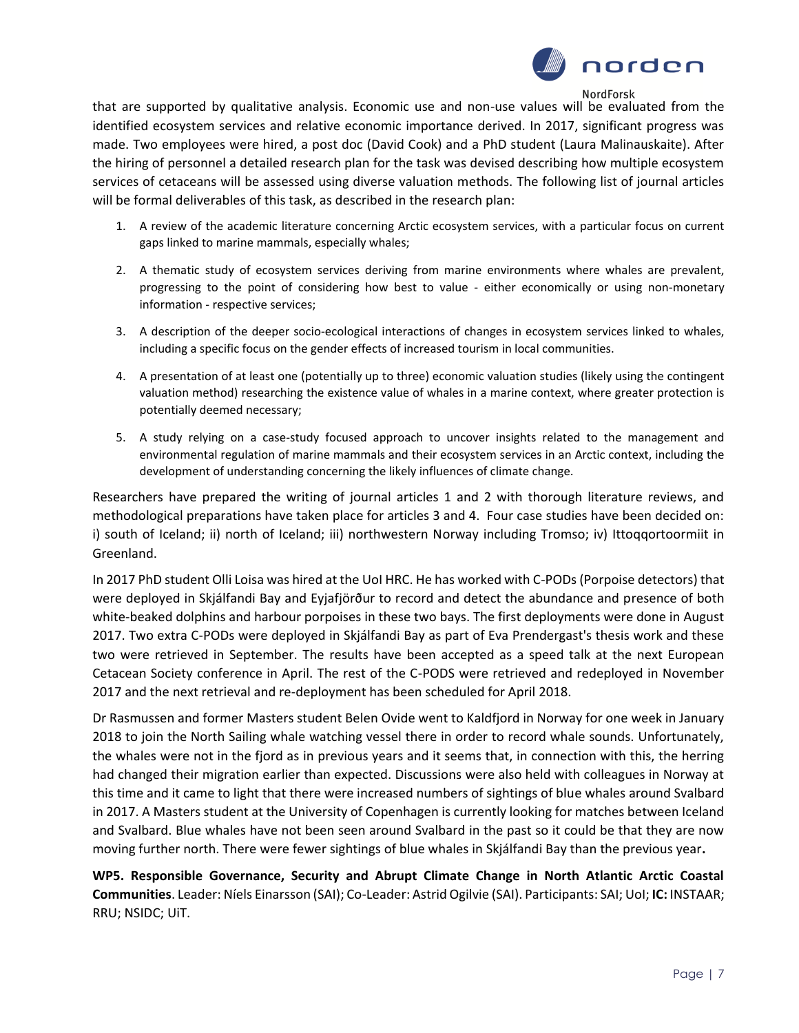

that are supported by qualitative analysis. Economic use and non-use values will be evaluated from the identified ecosystem services and relative economic importance derived. In 2017, significant progress was made. Two employees were hired, a post doc (David Cook) and a PhD student (Laura Malinauskaite). After the hiring of personnel a detailed research plan for the task was devised describing how multiple ecosystem services of cetaceans will be assessed using diverse valuation methods. The following list of journal articles will be formal deliverables of this task, as described in the research plan:

- 1. A review of the academic literature concerning Arctic ecosystem services, with a particular focus on current gaps linked to marine mammals, especially whales;
- 2. A thematic study of ecosystem services deriving from marine environments where whales are prevalent, progressing to the point of considering how best to value - either economically or using non-monetary information - respective services;
- 3. A description of the deeper socio-ecological interactions of changes in ecosystem services linked to whales, including a specific focus on the gender effects of increased tourism in local communities.
- 4. A presentation of at least one (potentially up to three) economic valuation studies (likely using the contingent valuation method) researching the existence value of whales in a marine context, where greater protection is potentially deemed necessary;
- 5. A study relying on a case-study focused approach to uncover insights related to the management and environmental regulation of marine mammals and their ecosystem services in an Arctic context, including the development of understanding concerning the likely influences of climate change.

Researchers have prepared the writing of journal articles 1 and 2 with thorough literature reviews, and methodological preparations have taken place for articles 3 and 4. Four case studies have been decided on: i) south of Iceland; ii) north of Iceland; iii) northwestern Norway including Tromso; iv) Ittoqqortoormiit in Greenland.

In 2017 PhD student Olli Loisa was hired at the UoI HRC. He has worked with C-PODs (Porpoise detectors) that were deployed in Skjálfandi Bay and Eyjafjörður to record and detect the abundance and presence of both white-beaked dolphins and harbour porpoises in these two bays. The first deployments were done in August 2017. Two extra C-PODs were deployed in Skjálfandi Bay as part of Eva Prendergast's thesis work and these two were retrieved in September. The results have been accepted as a speed talk at the next European Cetacean Society conference in April. The rest of the C-PODS were retrieved and redeployed in November 2017 and the next retrieval and re-deployment has been scheduled for April 2018.

Dr Rasmussen and former Masters student Belen Ovide went to Kaldfjord in Norway for one week in January 2018 to join the North Sailing whale watching vessel there in order to record whale sounds. Unfortunately, the whales were not in the fjord as in previous years and it seems that, in connection with this, the herring had changed their migration earlier than expected. Discussions were also held with colleagues in Norway at this time and it came to light that there were increased numbers of sightings of blue whales around Svalbard in 2017. A Masters student at the University of Copenhagen is currently looking for matches between Iceland and Svalbard. Blue whales have not been seen around Svalbard in the past so it could be that they are now moving further north. There were fewer sightings of blue whales in Skjálfandi Bay than the previous year**.**

**WP5. Responsible Governance, Security and Abrupt Climate Change in North Atlantic Arctic Coastal Communities**. Leader: Níels Einarsson (SAI); Co-Leader: Astrid Ogilvie (SAI). Participants: SAI; UoI; **IC:** INSTAAR; RRU; NSIDC; UiT.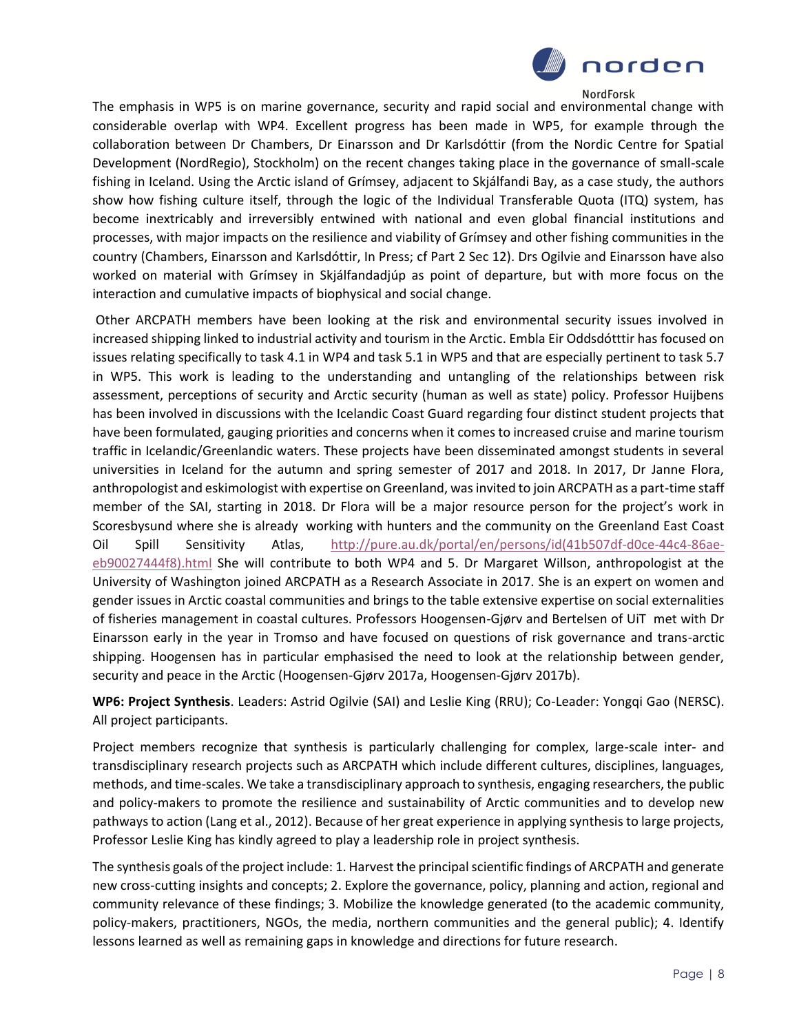

The emphasis in WP5 is on marine governance, security and rapid social and environmental change with considerable overlap with WP4. Excellent progress has been made in WP5, for example through the collaboration between Dr Chambers, Dr Einarsson and Dr Karlsdóttir (from the Nordic Centre for Spatial Development (NordRegio), Stockholm) on the recent changes taking place in the governance of small-scale fishing in Iceland. Using the Arctic island of Grímsey, adjacent to Skjálfandi Bay, as a case study, the authors show how fishing culture itself, through the logic of the Individual Transferable Quota (ITQ) system, has become inextricably and irreversibly entwined with national and even global financial institutions and processes, with major impacts on the resilience and viability of Grímsey and other fishing communities in the country (Chambers, Einarsson and Karlsdóttir, In Press; cf Part 2 Sec 12). Drs Ogilvie and Einarsson have also worked on material with Grímsey in Skjálfandadjúp as point of departure, but with more focus on the interaction and cumulative impacts of biophysical and social change.

Other ARCPATH members have been looking at the risk and environmental security issues involved in increased shipping linked to industrial activity and tourism in the Arctic. Embla Eir Oddsdótttir has focused on issues relating specifically to task 4.1 in WP4 and task 5.1 in WP5 and that are especially pertinent to task 5.7 in WP5. This work is leading to the understanding and untangling of the relationships between risk assessment, perceptions of security and Arctic security (human as well as state) policy. Professor Huijbens has been involved in discussions with the Icelandic Coast Guard regarding four distinct student projects that have been formulated, gauging priorities and concerns when it comes to increased cruise and marine tourism traffic in Icelandic/Greenlandic waters. These projects have been disseminated amongst students in several universities in Iceland for the autumn and spring semester of 2017 and 2018. In 2017, Dr Janne Flora, anthropologist and eskimologist with expertise on Greenland, was invited to join ARCPATH as a part-time staff member of the SAI, starting in 2018. Dr Flora will be a major resource person for the project's work in Scoresbysund where she is already working with hunters and the community on the Greenland East Coast Oil Spill Sensitivity Atlas, [http://pure.au.dk/portal/en/persons/id\(41b507df-d0ce-44c4-86ae](http://pure.au.dk/portal/en/persons/id(41b507df-d0ce-44c4-86ae-eb90027444f8).html)[eb90027444f8\).html](http://pure.au.dk/portal/en/persons/id(41b507df-d0ce-44c4-86ae-eb90027444f8).html) She will contribute to both WP4 and 5. Dr Margaret Willson, anthropologist at the University of Washington joined ARCPATH as a Research Associate in 2017. She is an expert on women and gender issues in Arctic coastal communities and brings to the table extensive expertise on social externalities of fisheries management in coastal cultures. Professors Hoogensen-Gjørv and Bertelsen of UiT met with Dr Einarsson early in the year in Tromso and have focused on questions of risk governance and trans-arctic shipping. Hoogensen has in particular emphasised the need to look at the relationship between gender, security and peace in the Arctic (Hoogensen-Gjørv 2017a, Hoogensen-Gjørv 2017b).

**WP6: Project Synthesis**. Leaders: Astrid Ogilvie (SAI) and Leslie King (RRU); Co-Leader: Yongqi Gao (NERSC). All project participants.

Project members recognize that synthesis is particularly challenging for complex, large-scale inter- and transdisciplinary research projects such as ARCPATH which include different cultures, disciplines, languages, methods, and time-scales. We take a transdisciplinary approach to synthesis, engaging researchers, the public and policy-makers to promote the resilience and sustainability of Arctic communities and to develop new pathways to action (Lang et al., 2012). Because of her great experience in applying synthesis to large projects, Professor Leslie King has kindly agreed to play a leadership role in project synthesis.

The synthesis goals of the project include: 1. Harvest the principal scientific findings of ARCPATH and generate new cross-cutting insights and concepts; 2. Explore the governance, policy, planning and action, regional and community relevance of these findings; 3. Mobilize the knowledge generated (to the academic community, policy-makers, practitioners, NGOs, the media, northern communities and the general public); 4. Identify lessons learned as well as remaining gaps in knowledge and directions for future research.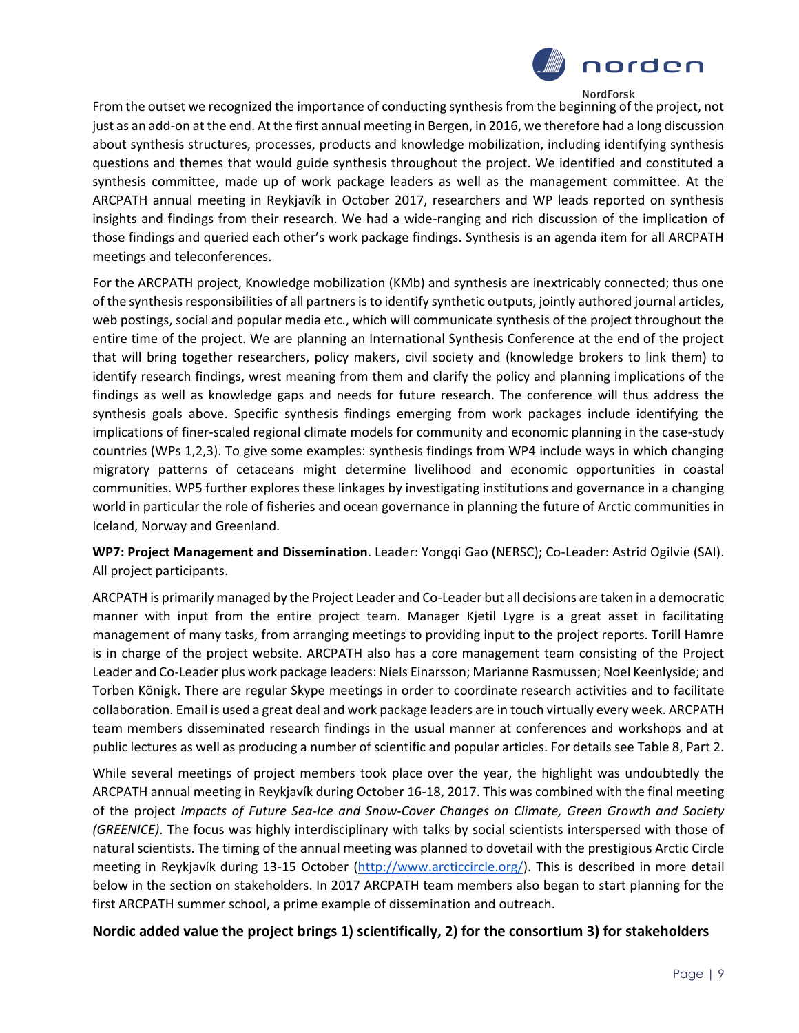

From the outset we recognized the importance of conducting synthesis from the beginning of the project, not just as an add-on at the end. At the first annual meeting in Bergen, in 2016, we therefore had a long discussion about synthesis structures, processes, products and knowledge mobilization, including identifying synthesis questions and themes that would guide synthesis throughout the project. We identified and constituted a synthesis committee, made up of work package leaders as well as the management committee. At the ARCPATH annual meeting in Reykjavík in October 2017, researchers and WP leads reported on synthesis insights and findings from their research. We had a wide-ranging and rich discussion of the implication of those findings and queried each other's work package findings. Synthesis is an agenda item for all ARCPATH meetings and teleconferences.

For the ARCPATH project, Knowledge mobilization (KMb) and synthesis are inextricably connected; thus one of the synthesis responsibilities of all partners is to identify synthetic outputs, jointly authored journal articles, web postings, social and popular media etc., which will communicate synthesis of the project throughout the entire time of the project. We are planning an International Synthesis Conference at the end of the project that will bring together researchers, policy makers, civil society and (knowledge brokers to link them) to identify research findings, wrest meaning from them and clarify the policy and planning implications of the findings as well as knowledge gaps and needs for future research. The conference will thus address the synthesis goals above. Specific synthesis findings emerging from work packages include identifying the implications of finer-scaled regional climate models for community and economic planning in the case-study countries (WPs 1,2,3). To give some examples: synthesis findings from WP4 include ways in which changing migratory patterns of cetaceans might determine livelihood and economic opportunities in coastal communities. WP5 further explores these linkages by investigating institutions and governance in a changing world in particular the role of fisheries and ocean governance in planning the future of Arctic communities in Iceland, Norway and Greenland.

**WP7: Project Management and Dissemination**. Leader: Yongqi Gao (NERSC); Co-Leader: Astrid Ogilvie (SAI). All project participants.

ARCPATH is primarily managed by the Project Leader and Co-Leader but all decisions are taken in a democratic manner with input from the entire project team. Manager Kjetil Lygre is a great asset in facilitating management of many tasks, from arranging meetings to providing input to the project reports. Torill Hamre is in charge of the project website. ARCPATH also has a core management team consisting of the Project Leader and Co-Leader plus work package leaders: Níels Einarsson; Marianne Rasmussen; Noel Keenlyside; and Torben Königk. There are regular Skype meetings in order to coordinate research activities and to facilitate collaboration. Email is used a great deal and work package leaders are in touch virtually every week. ARCPATH team members disseminated research findings in the usual manner at conferences and workshops and at public lectures as well as producing a number of scientific and popular articles. For details see Table 8, Part 2.

While several meetings of project members took place over the year, the highlight was undoubtedly the ARCPATH annual meeting in Reykjavík during October 16-18, 2017. This was combined with the final meeting of the project *Impacts of Future Sea-Ice and Snow-Cover Changes on Climate, Green Growth and Society (GREENICE)*. The focus was highly interdisciplinary with talks by social scientists interspersed with those of natural scientists. The timing of the annual meeting was planned to dovetail with the prestigious Arctic Circle meeting in Reykjavík during 13-15 October [\(http://www.arcticcircle.org/\)](http://www.arcticcircle.org/). This is described in more detail below in the section on stakeholders. In 2017 ARCPATH team members also began to start planning for the first ARCPATH summer school, a prime example of dissemination and outreach.

### **Nordic added value the project brings 1) scientifically, 2) for the consortium 3) for stakeholders**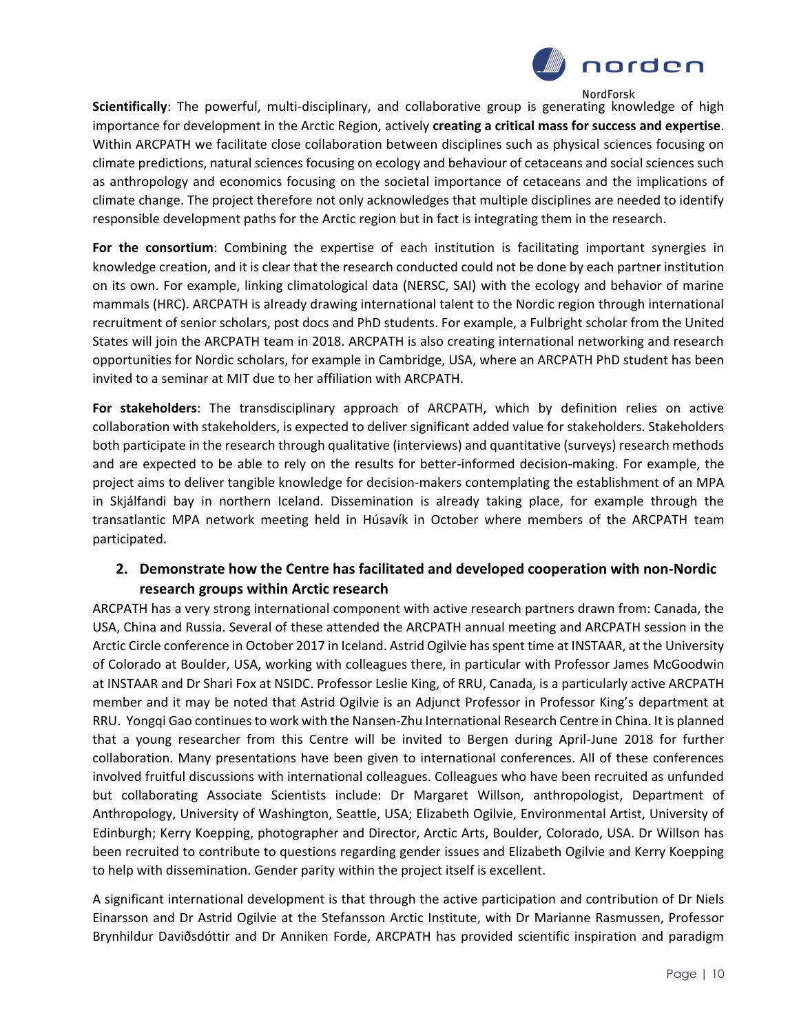

**Scientifically**: The powerful, multi-disciplinary, and collaborative group is generating knowledge of high importance for development in the Arctic Region, actively **creating a critical mass for success and expertise**. Within ARCPATH we facilitate close collaboration between disciplines such as physical sciences focusing on climate predictions, natural sciences focusing on ecology and behaviour of cetaceans and social sciences such as anthropology and economics focusing on the societal importance of cetaceans and the implications of climate change. The project therefore not only acknowledges that multiple disciplines are needed to identify responsible development paths for the Arctic region but in fact is integrating them in the research.

**For the consortium**: Combining the expertise of each institution is facilitating important synergies in knowledge creation, and it is clear that the research conducted could not be done by each partner institution on its own. For example, linking climatological data (NERSC, SAI) with the ecology and behavior of marine mammals (HRC). ARCPATH is already drawing international talent to the Nordic region through international recruitment of senior scholars, post docs and PhD students. For example, a Fulbright scholar from the United States will join the ARCPATH team in 2018. ARCPATH is also creating international networking and research opportunities for Nordic scholars, for example in Cambridge, USA, where an ARCPATH PhD student has been invited to a seminar at MIT due to her affiliation with ARCPATH.

**For stakeholders**: The transdisciplinary approach of ARCPATH, which by definition relies on active collaboration with stakeholders, is expected to deliver significant added value for stakeholders. Stakeholders both participate in the research through qualitative (interviews) and quantitative (surveys) research methods and are expected to be able to rely on the results for better-informed decision-making. For example, the project aims to deliver tangible knowledge for decision-makers contemplating the establishment of an MPA in Skjálfandi bay in northern Iceland. Dissemination is already taking place, for example through the transatlantic MPA network meeting held in Húsavík in October where members of the ARCPATH team participated.

### **2. Demonstrate how the Centre has facilitated and developed cooperation with non-Nordic research groups within Arctic research**

ARCPATH has a very strong international component with active research partners drawn from: Canada, the USA, China and Russia. Several of these attended the ARCPATH annual meeting and ARCPATH session in the Arctic Circle conference in October 2017 in Iceland. Astrid Ogilvie has spent time at INSTAAR, at the University of Colorado at Boulder, USA, working with colleagues there, in particular with Professor James McGoodwin at INSTAAR and Dr Shari Fox at NSIDC. Professor Leslie King, of RRU, Canada, is a particularly active ARCPATH member and it may be noted that Astrid Ogilvie is an Adjunct Professor in Professor King's department at RRU. Yongqi Gao continues to work with the Nansen-Zhu International Research Centre in China. It is planned that a young researcher from this Centre will be invited to Bergen during April-June 2018 for further collaboration. Many presentations have been given to international conferences. All of these conferences involved fruitful discussions with international colleagues. Colleagues who have been recruited as unfunded but collaborating Associate Scientists include: Dr Margaret Willson, anthropologist, Department of Anthropology, University of Washington, Seattle, USA; Elizabeth Ogilvie, Environmental Artist, University of Edinburgh; Kerry Koepping, photographer and Director, Arctic Arts, Boulder, Colorado, USA. Dr Willson has been recruited to contribute to questions regarding gender issues and Elizabeth Ogilvie and Kerry Koepping to help with dissemination. Gender parity within the project itself is excellent.

A significant international development is that through the active participation and contribution of Dr Niels Einarsson and Dr Astrid Ogilvie at the Stefansson Arctic Institute, with Dr Marianne Rasmussen, Professor Brynhildur Daviðsdóttir and Dr Anniken Forde, ARCPATH has provided scientific inspiration and paradigm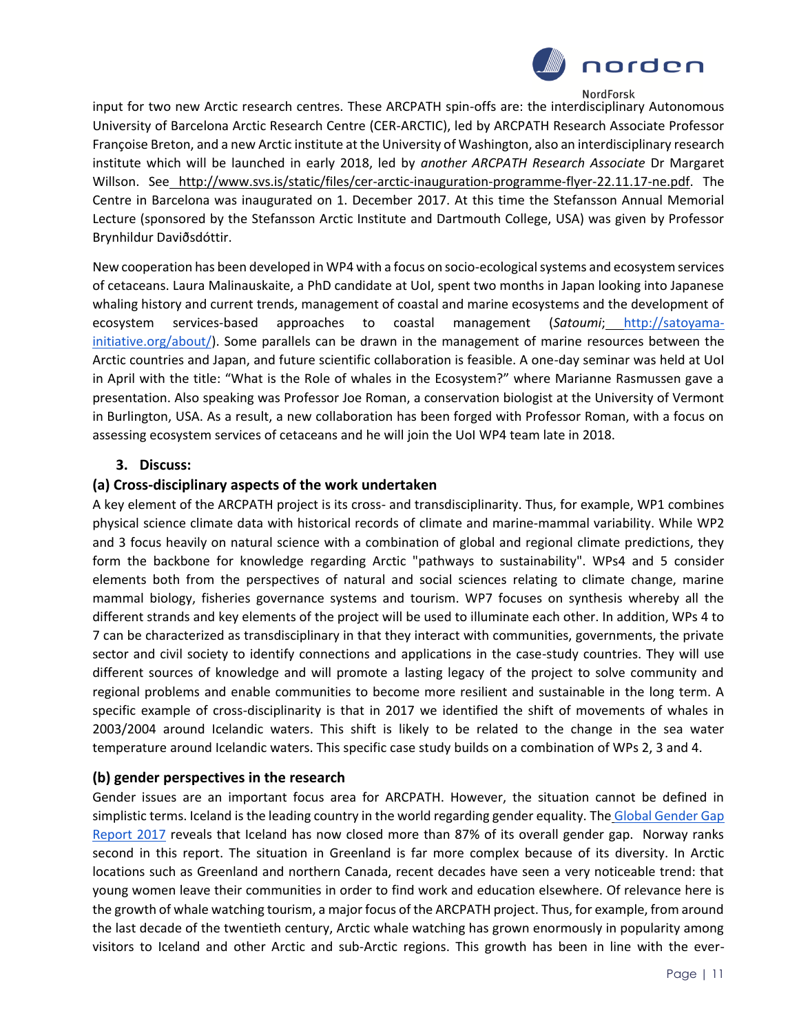

input for two new Arctic research centres. These ARCPATH spin-offs are: the interdisciplinary Autonomous University of Barcelona Arctic Research Centre (CER-ARCTIC), led by ARCPATH Research Associate Professor Françoise Breton, and a new Arctic institute at the University of Washington, also an interdisciplinary research institute which will be launched in early 2018, led by *another ARCPATH Research Associate* Dr Margaret Willson. See [http://www.svs.is/static/files/cer-arctic-inauguration-programme-flyer-22.11.17-ne.pdf.](http://secure-web.cisco.com/1g-E5ymnqrm6Fu45nmUoVMnzZuwEB_8goK6wjQtXrBcameJIwsToQX1-NLlnl-eeNq9xO01duX_LYOccvWp_a9j3YtQ5IZlM1Trf-m8-Zg6kFh8-t4YeIULUsNrHyzUS45aYuEdhREDZi_03AajIaWW-tUR7wT-VxsIoPMngxNDz3oLtX3VZatztp1zRFwA-BlbR7lImrhZmf67fO-uORXY_8RvX5yCVBiX4ajbL_XVVSPI56373nD0lUnRx2aEdvMUrFtvPbsuw_b-NP-XV1nXnn4s7Fbpcv6xc7yXNTsVhkBmkHJY4i5plU_5HFj8c3z58qnG0gWeLbr7rwFx9774QtuMsqFUcitQ72aK_OGBZnfa5c1v5fxAW9h_6rtIdc0-WwngBrDlS2HvFcOquEkCMicHodus8BfHH4YmNT3yFJO86WMGfdBeHjGFnug93m6_26LjHNRSB314PJJFEs8A/http%3A%2F%2Fwww.svs.is%2Fstatic%2Ffiles%2Fcer-arctic-inauguration-programme-flyer-22.11.17-ne.pdf) The Centre in Barcelona was inaugurated on 1. December 2017. At this time the Stefansson Annual Memorial Lecture (sponsored by the Stefansson Arctic Institute and Dartmouth College, USA) was given by Professor Brynhildur Daviðsdóttir.

New cooperation has been developed in WP4 with a focus on socio-ecological systems and ecosystem services of cetaceans. Laura Malinauskaite, a PhD candidate at UoI, spent two months in Japan looking into Japanese whaling history and current trends, management of coastal and marine ecosystems and the development of ecosystem services-based approaches to coastal management (*Satoumi*[;](http://satoyama-initiative.org/about/) [http://satoyama](http://satoyama-initiative.org/about/)[initiative.org/about/\)](http://satoyama-initiative.org/about/). Some parallels can be drawn in the management of marine resources between the Arctic countries and Japan, and future scientific collaboration is feasible. A one-day seminar was held at UoI in April with the title: "What is the Role of whales in the Ecosystem?" where Marianne Rasmussen gave a presentation. Also speaking was Professor Joe Roman, a conservation biologist at the University of Vermont in Burlington, USA. As a result, a new collaboration has been forged with Professor Roman, with a focus on assessing ecosystem services of cetaceans and he will join the UoI WP4 team late in 2018.

### **3. Discuss:**

### **(a) Cross-disciplinary aspects of the work undertaken**

A key element of the ARCPATH project is its cross- and transdisciplinarity. Thus, for example, WP1 combines physical science climate data with historical records of climate and marine-mammal variability. While WP2 and 3 focus heavily on natural science with a combination of global and regional climate predictions, they form the backbone for knowledge regarding Arctic "pathways to sustainability". WPs4 and 5 consider elements both from the perspectives of natural and social sciences relating to climate change, marine mammal biology, fisheries governance systems and tourism. WP7 focuses on synthesis whereby all the different strands and key elements of the project will be used to illuminate each other. In addition, WPs 4 to 7 can be characterized as transdisciplinary in that they interact with communities, governments, the private sector and civil society to identify connections and applications in the case-study countries. They will use different sources of knowledge and will promote a lasting legacy of the project to solve community and regional problems and enable communities to become more resilient and sustainable in the long term. A specific example of cross-disciplinarity is that in 2017 we identified the shift of movements of whales in 2003/2004 around Icelandic waters. This shift is likely to be related to the change in the sea water temperature around Icelandic waters. This specific case study builds on a combination of WPs 2, 3 and 4.

### **(b) gender perspectives in the research**

Gender issues are an important focus area for ARCPATH. However, the situation cannot be defined in simplistic terms. Iceland is the leading country in the world regarding gender equality. The Global Gender Gap [Report 2017](http://wef.ch/gendergap17) reveals that Iceland has now closed more than 87% of its overall gender gap. Norway ranks second in this report. The situation in Greenland is far more complex because of its diversity. In Arctic locations such as Greenland and northern Canada, recent decades have seen a very noticeable trend: that young women leave their communities in order to find work and education elsewhere. Of relevance here is the growth of whale watching tourism, a major focus of the ARCPATH project. Thus, for example, from around the last decade of the twentieth century, Arctic whale watching has grown enormously in popularity among visitors to Iceland and other Arctic and sub-Arctic regions. This growth has been in line with the ever-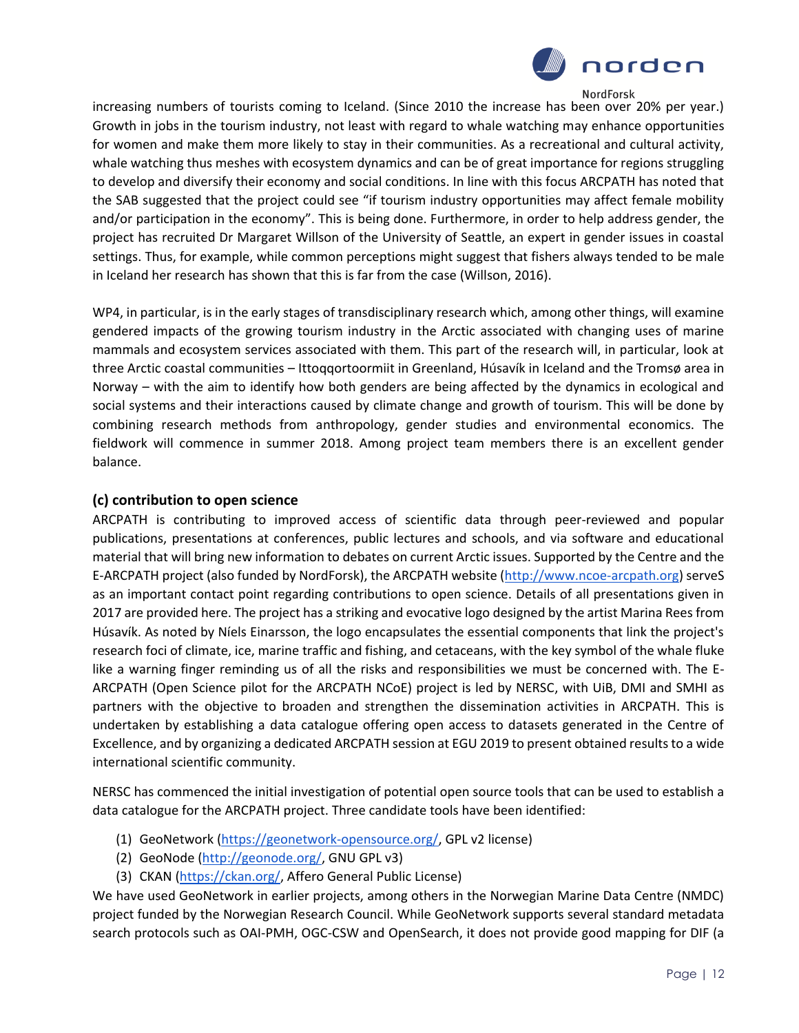

increasing numbers of tourists coming to Iceland. (Since 2010 the increase has been over 20% per year.) Growth in jobs in the tourism industry, not least with regard to whale watching may enhance opportunities for women and make them more likely to stay in their communities. As a recreational and cultural activity, whale watching thus meshes with ecosystem dynamics and can be of great importance for regions struggling to develop and diversify their economy and social conditions. In line with this focus ARCPATH has noted that the SAB suggested that the project could see "if tourism industry opportunities may affect female mobility and/or participation in the economy". This is being done. Furthermore, in order to help address gender, the project has recruited Dr Margaret Willson of the University of Seattle, an expert in gender issues in coastal settings. Thus, for example, while common perceptions might suggest that fishers always tended to be male in Iceland her research has shown that this is far from the case (Willson, 2016).

WP4, in particular, is in the early stages of transdisciplinary research which, among other things, will examine gendered impacts of the growing tourism industry in the Arctic associated with changing uses of marine mammals and ecosystem services associated with them. This part of the research will, in particular, look at three Arctic coastal communities – Ittoqqortoormiit in Greenland, Húsavík in Iceland and the Tromsø area in Norway – with the aim to identify how both genders are being affected by the dynamics in ecological and social systems and their interactions caused by climate change and growth of tourism. This will be done by combining research methods from anthropology, gender studies and environmental economics. The fieldwork will commence in summer 2018. Among project team members there is an excellent gender balance.

### **(c) contribution to open science**

ARCPATH is contributing to improved access of scientific data through peer-reviewed and popular publications, presentations at conferences, public lectures and schools, and via software and educational material that will bring new information to debates on current Arctic issues. Supported by the Centre and the E-ARCPATH project (also funded by NordForsk), the ARCPATH website [\(http://www.ncoe-arcpath.org\)](http://www.ncoe-arcpath.org/) serveS as an important contact point regarding contributions to open science. Details of all presentations given in 2017 are provided here. The project has a striking and evocative logo designed by the artist Marina Rees from Húsavík. As noted by Níels Einarsson, the logo encapsulates the essential components that link the project's research foci of climate, ice, marine traffic and fishing, and cetaceans, with the key symbol of the whale fluke like a warning finger reminding us of all the risks and responsibilities we must be concerned with. The E-ARCPATH (Open Science pilot for the ARCPATH NCoE) project is led by NERSC, with UiB, DMI and SMHI as partners with the objective to broaden and strengthen the dissemination activities in ARCPATH. This is undertaken by establishing a data catalogue offering open access to datasets generated in the Centre of Excellence, and by organizing a dedicated ARCPATH session at EGU 2019 to present obtained results to a wide international scientific community.

NERSC has commenced the initial investigation of potential open source tools that can be used to establish a data catalogue for the ARCPATH project. Three candidate tools have been identified:

- (1) GeoNetwork [\(https://geonetwork-opensource.org/,](https://geonetwork-opensource.org/) GPL v2 license)
- (2) GeoNode [\(http://geonode.org/,](http://geonode.org/) GNU GPL v3)
- (3) CKAN [\(https://ckan.org/,](https://ckan.org/) Affero General Public License)

We have used GeoNetwork in earlier projects, among others in the Norwegian Marine Data Centre (NMDC) project funded by the Norwegian Research Council. While GeoNetwork supports several standard metadata search protocols such as OAI-PMH, OGC-CSW and OpenSearch, it does not provide good mapping for DIF (a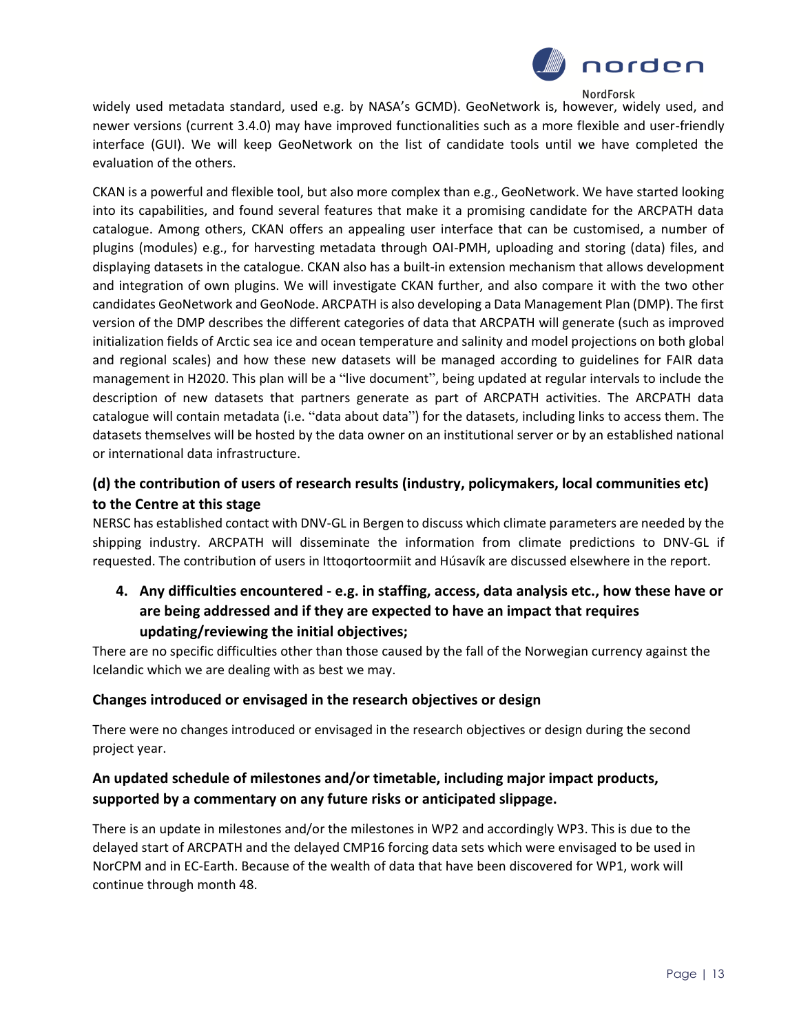

widely used metadata standard, used e.g. by NASA's GCMD). GeoNetwork is, however, widely used, and newer versions (current 3.4.0) may have improved functionalities such as a more flexible and user-friendly interface (GUI). We will keep GeoNetwork on the list of candidate tools until we have completed the evaluation of the others.

CKAN is a powerful and flexible tool, but also more complex than e.g., GeoNetwork. We have started looking into its capabilities, and found several features that make it a promising candidate for the ARCPATH data catalogue. Among others, CKAN offers an appealing user interface that can be customised, a number of plugins (modules) e.g., for harvesting metadata through OAI-PMH, uploading and storing (data) files, and displaying datasets in the catalogue. CKAN also has a built-in extension mechanism that allows development and integration of own plugins. We will investigate CKAN further, and also compare it with the two other candidates GeoNetwork and GeoNode. ARCPATH is also developing a Data Management Plan (DMP). The first version of the DMP describes the different categories of data that ARCPATH will generate (such as improved initialization fields of Arctic sea ice and ocean temperature and salinity and model projections on both global and regional scales) and how these new datasets will be managed according to guidelines for FAIR data management in H2020. This plan will be a "live document", being updated at regular intervals to include the description of new datasets that partners generate as part of ARCPATH activities. The ARCPATH data catalogue will contain metadata (i.e. "data about data") for the datasets, including links to access them. The datasets themselves will be hosted by the data owner on an institutional server or by an established national or international data infrastructure.

### **(d) the contribution of users of research results (industry, policymakers, local communities etc) to the Centre at this stage**

NERSC has established contact with DNV-GL in Bergen to discuss which climate parameters are needed by the shipping industry. ARCPATH will disseminate the information from climate predictions to DNV-GL if requested. The contribution of users in Ittoqortoormiit and Húsavík are discussed elsewhere in the report.

**4. Any difficulties encountered - e.g. in staffing, access, data analysis etc., how these have or are being addressed and if they are expected to have an impact that requires updating/reviewing the initial objectives;**

There are no specific difficulties other than those caused by the fall of the Norwegian currency against the Icelandic which we are dealing with as best we may.

### **Changes introduced or envisaged in the research objectives or design**

There were no changes introduced or envisaged in the research objectives or design during the second project year.

### **An updated schedule of milestones and/or timetable, including major impact products, supported by a commentary on any future risks or anticipated slippage.**

There is an update in milestones and/or the milestones in WP2 and accordingly WP3. This is due to the delayed start of ARCPATH and the delayed CMP16 forcing data sets which were envisaged to be used in NorCPM and in EC-Earth. Because of the wealth of data that have been discovered for WP1, work will continue through month 48.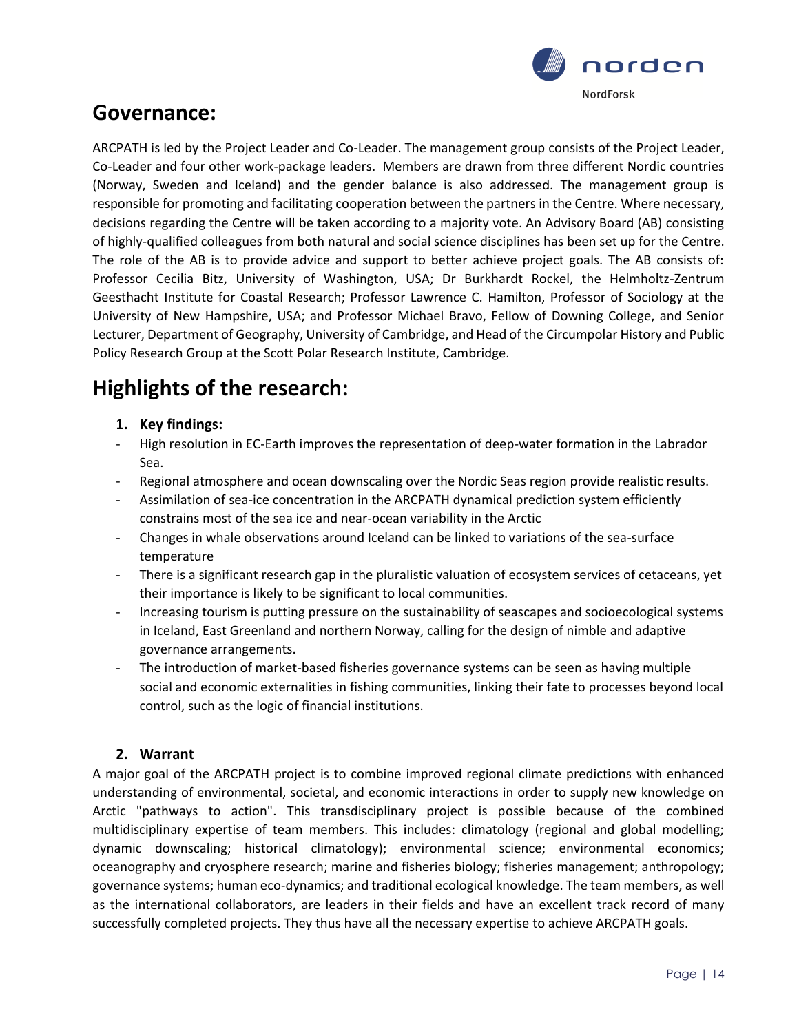

# **Governance:**

ARCPATH is led by the Project Leader and Co-Leader. The management group consists of the Project Leader, Co-Leader and four other work-package leaders. Members are drawn from three different Nordic countries (Norway, Sweden and Iceland) and the gender balance is also addressed. The management group is responsible for promoting and facilitating cooperation between the partners in the Centre. Where necessary, decisions regarding the Centre will be taken according to a majority vote. An Advisory Board (AB) consisting of highly-qualified colleagues from both natural and social science disciplines has been set up for the Centre. The role of the AB is to provide advice and support to better achieve project goals. The AB consists of: Professor Cecilia Bitz, University of Washington, USA; Dr Burkhardt Rockel, the Helmholtz-Zentrum Geesthacht Institute for Coastal Research; Professor Lawrence C. Hamilton, Professor of Sociology at the University of New Hampshire, USA; and Professor Michael Bravo, Fellow of Downing College, and Senior Lecturer, Department of Geography, University of Cambridge, and Head of the Circumpolar History and Public Policy Research Group at the Scott Polar Research Institute, Cambridge.

# **Highlights of the research:**

### **1. Key findings:**

- High resolution in EC-Earth improves the representation of deep-water formation in the Labrador Sea.
- Regional atmosphere and ocean downscaling over the Nordic Seas region provide realistic results.
- Assimilation of sea-ice concentration in the ARCPATH dynamical prediction system efficiently constrains most of the sea ice and near-ocean variability in the Arctic
- Changes in whale observations around Iceland can be linked to variations of the sea-surface temperature
- There is a significant research gap in the pluralistic valuation of ecosystem services of cetaceans, yet their importance is likely to be significant to local communities.
- Increasing tourism is putting pressure on the sustainability of seascapes and socioecological systems in Iceland, East Greenland and northern Norway, calling for the design of nimble and adaptive governance arrangements.
- The introduction of market-based fisheries governance systems can be seen as having multiple social and economic externalities in fishing communities, linking their fate to processes beyond local control, such as the logic of financial institutions.

### **2. Warrant**

A major goal of the ARCPATH project is to combine improved regional climate predictions with enhanced understanding of environmental, societal, and economic interactions in order to supply new knowledge on Arctic "pathways to action". This transdisciplinary project is possible because of the combined multidisciplinary expertise of team members. This includes: climatology (regional and global modelling; dynamic downscaling; historical climatology); environmental science; environmental economics; oceanography and cryosphere research; marine and fisheries biology; fisheries management; anthropology; governance systems; human eco-dynamics; and traditional ecological knowledge. The team members, as well as the international collaborators, are leaders in their fields and have an excellent track record of many successfully completed projects. They thus have all the necessary expertise to achieve ARCPATH goals.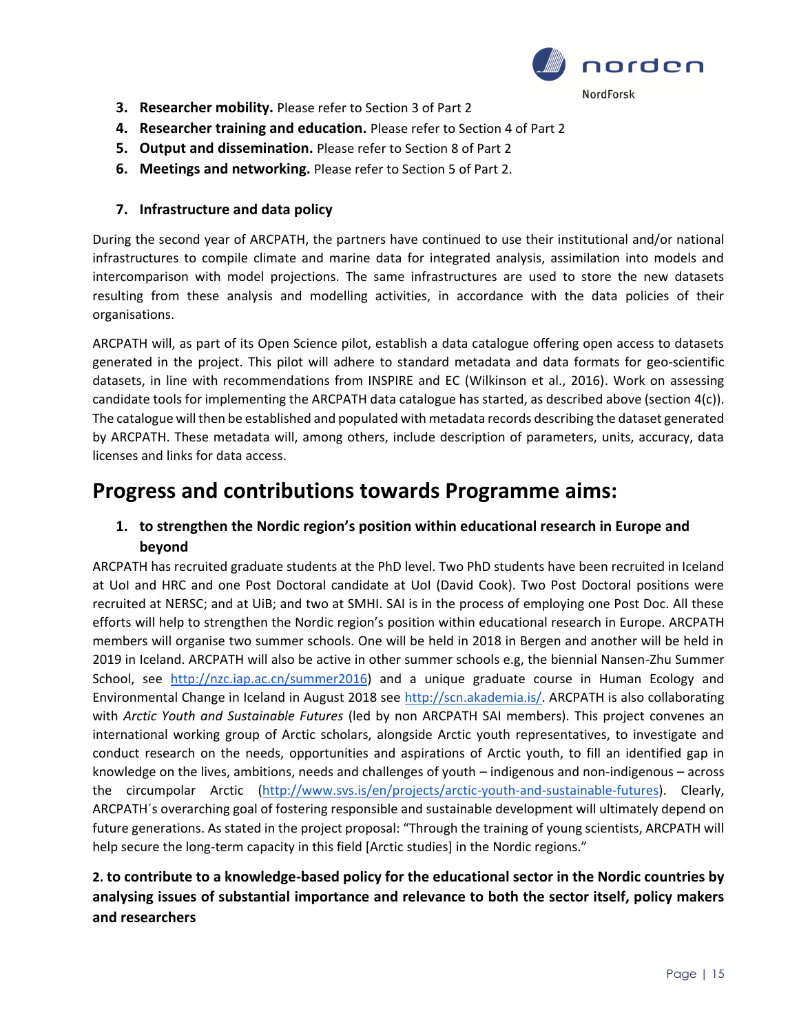

- **3. Researcher mobility.** Please refer to Section 3 of Part 2
- **4. Researcher training and education.** Please refer to Section 4 of Part 2
- **5. Output and dissemination.** Please refer to Section 8 of Part 2
- **6. Meetings and networking.** Please refer to Section 5 of Part 2.

### **7. Infrastructure and data policy**

During the second year of ARCPATH, the partners have continued to use their institutional and/or national infrastructures to compile climate and marine data for integrated analysis, assimilation into models and intercomparison with model projections. The same infrastructures are used to store the new datasets resulting from these analysis and modelling activities, in accordance with the data policies of their organisations.

ARCPATH will, as part of its Open Science pilot, establish a data catalogue offering open access to datasets generated in the project. This pilot will adhere to standard metadata and data formats for geo-scientific datasets, in line with recommendations from INSPIRE and EC (Wilkinson et al., 2016). Work on assessing candidate tools for implementing the ARCPATH data catalogue has started, as described above (section 4(c)). The catalogue will then be established and populated with metadata records describing the dataset generated by ARCPATH. These metadata will, among others, include description of parameters, units, accuracy, data licenses and links for data access.

### **Progress and contributions towards Programme aims:**

### **1. to strengthen the Nordic region's position within educational research in Europe and beyond**

ARCPATH has recruited graduate students at the PhD level. Two PhD students have been recruited in Iceland at UoI and HRC and one Post Doctoral candidate at UoI (David Cook). Two Post Doctoral positions were recruited at NERSC; and at UiB; and two at SMHI. SAI is in the process of employing one Post Doc. All these efforts will help to strengthen the Nordic region's position within educational research in Europe. ARCPATH members will organise two summer schools. One will be held in 2018 in Bergen and another will be held in 2019 in Iceland. ARCPATH will also be active in other summer schools e.g, the biennial Nansen-Zhu Summer School, see [http://nzc.iap.ac.cn/summer2016\)](http://nzc.iap.ac.cn/summer2016) and a unique graduate course in Human Ecology and Environmental Change in Iceland in August 2018 see [http://scn.akademia.is/.](http://scn.akademia.is/) ARCPATH is also collaborating with *Arctic Youth and Sustainable Futures* (led by non ARCPATH SAI members). This project convenes an international working group of Arctic scholars, alongside Arctic youth representatives, to investigate and conduct research on the needs, opportunities and aspirations of Arctic youth, to fill an identified gap in knowledge on the lives, ambitions, needs and challenges of youth – indigenous and non-indigenous – across the circumpolar Arctic [\(http://www.svs.is/en/projects/arctic-youth-and-sustainable-futures\)](http://www.svs.is/en/projects/arctic-youth-and-sustainable-futures). Clearly, ARCPATH´s overarching goal of fostering responsible and sustainable development will ultimately depend on future generations. As stated in the project proposal: "Through the training of young scientists, ARCPATH will help secure the long-term capacity in this field [Arctic studies] in the Nordic regions."

### **2. to contribute to a knowledge-based policy for the educational sector in the Nordic countries by analysing issues of substantial importance and relevance to both the sector itself, policy makers and researchers**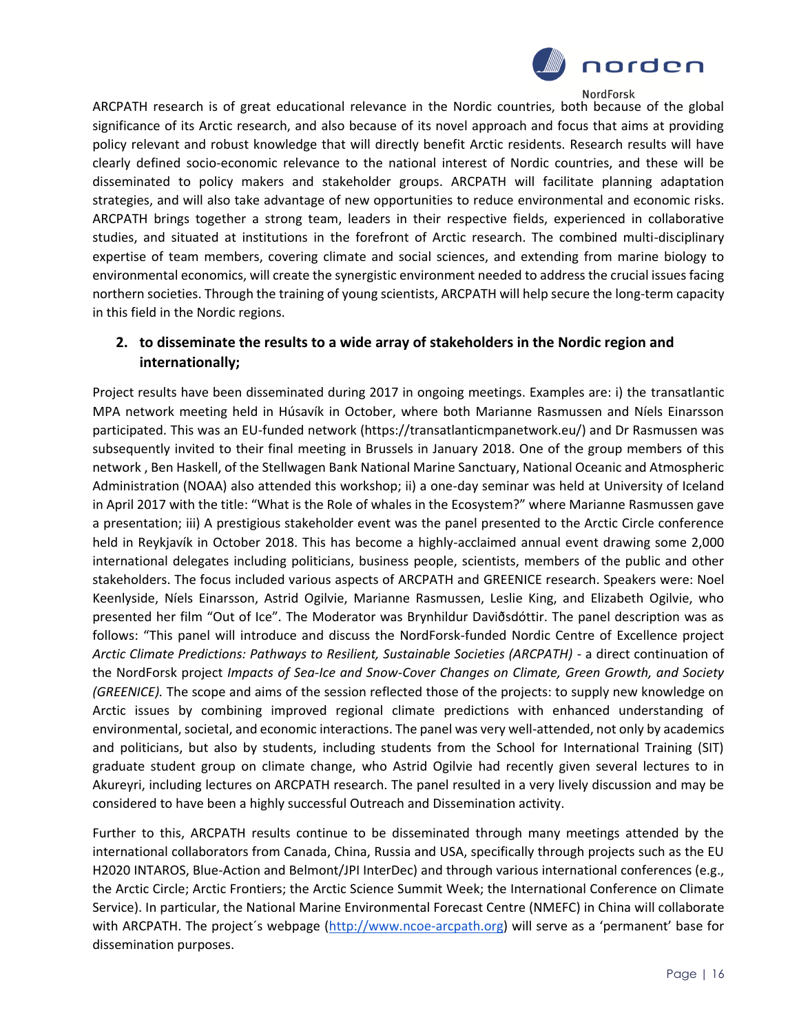

ARCPATH research is of great educational relevance in the Nordic countries, both because of the global significance of its Arctic research, and also because of its novel approach and focus that aims at providing policy relevant and robust knowledge that will directly benefit Arctic residents. Research results will have clearly defined socio-economic relevance to the national interest of Nordic countries, and these will be disseminated to policy makers and stakeholder groups. ARCPATH will facilitate planning adaptation strategies, and will also take advantage of new opportunities to reduce environmental and economic risks. ARCPATH brings together a strong team, leaders in their respective fields, experienced in collaborative studies, and situated at institutions in the forefront of Arctic research. The combined multi-disciplinary expertise of team members, covering climate and social sciences, and extending from marine biology to environmental economics, will create the synergistic environment needed to address the crucial issues facing northern societies. Through the training of young scientists, ARCPATH will help secure the long-term capacity in this field in the Nordic regions.

### **2. to disseminate the results to a wide array of stakeholders in the Nordic region and internationally;**

Project results have been disseminated during 2017 in ongoing meetings. Examples are: i) the transatlantic MPA network meeting held in Húsavík in October, where both Marianne Rasmussen and Níels Einarsson participated. This was an EU-funded network (https://transatlanticmpanetwork.eu/) and Dr Rasmussen was subsequently invited to their final meeting in Brussels in January 2018. One of the group members of this network , Ben Haskell, of the Stellwagen Bank National Marine Sanctuary, National Oceanic and Atmospheric Administration (NOAA) also attended this workshop; ii) a one-day seminar was held at University of Iceland in April 2017 with the title: "What is the Role of whales in the Ecosystem?" where Marianne Rasmussen gave a presentation; iii) A prestigious stakeholder event was the panel presented to the Arctic Circle conference held in Reykjavík in October 2018. This has become a highly-acclaimed annual event drawing some 2,000 international delegates including politicians, business people, scientists, members of the public and other stakeholders. The focus included various aspects of ARCPATH and GREENICE research. Speakers were: Noel Keenlyside, Níels Einarsson, Astrid Ogilvie, Marianne Rasmussen, Leslie King, and Elizabeth Ogilvie, who presented her film "Out of Ice". The Moderator was Brynhildur Daviðsdóttir. The panel description was as follows: "This panel will introduce and discuss the NordForsk-funded Nordic Centre of Excellence project *Arctic Climate Predictions: Pathways to Resilient, Sustainable Societies (ARCPATH)* - a direct continuation of the NordForsk project *Impacts of Sea-Ice and Snow-Cover Changes on Climate, Green Growth, and Society (GREENICE).* The scope and aims of the session reflected those of the projects: to supply new knowledge on Arctic issues by combining improved regional climate predictions with enhanced understanding of environmental, societal, and economic interactions. The panel was very well-attended, not only by academics and politicians, but also by students, including students from the School for International Training (SIT) graduate student group on climate change, who Astrid Ogilvie had recently given several lectures to in Akureyri, including lectures on ARCPATH research. The panel resulted in a very lively discussion and may be considered to have been a highly successful Outreach and Dissemination activity.

Further to this, ARCPATH results continue to be disseminated through many meetings attended by the international collaborators from Canada, China, Russia and USA, specifically through projects such as the EU H2020 INTAROS, Blue-Action and Belmont/JPI InterDec) and through various international conferences (e.g., the Arctic Circle; Arctic Frontiers; the Arctic Science Summit Week; the International Conference on Climate Service). In particular, the National Marine Environmental Forecast Centre (NMEFC) in China will collaborate with ARCPATH. The project´s webpage [\(http://www.ncoe-arcpath.org](http://www.ncoe-arcpath.org/)) will serve as a 'permanent' base for dissemination purposes.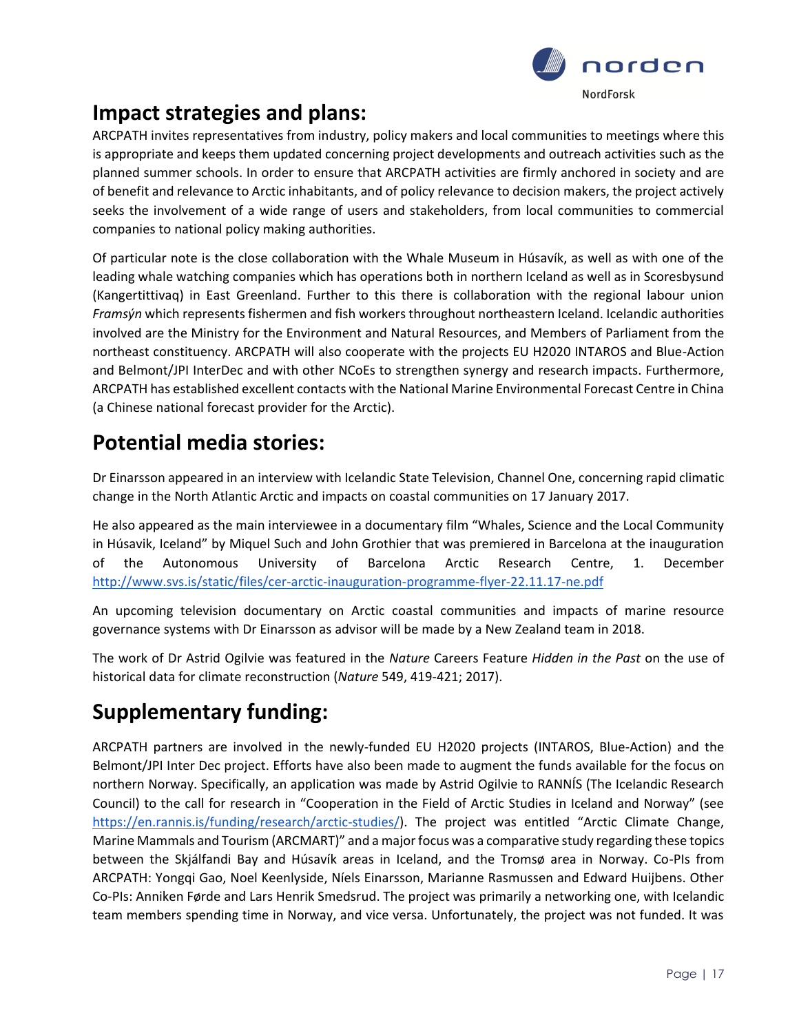

# **Impact strategies and plans:**

ARCPATH invites representatives from industry, policy makers and local communities to meetings where this is appropriate and keeps them updated concerning project developments and outreach activities such as the planned summer schools. In order to ensure that ARCPATH activities are firmly anchored in society and are of benefit and relevance to Arctic inhabitants, and of policy relevance to decision makers, the project actively seeks the involvement of a wide range of users and stakeholders, from local communities to commercial companies to national policy making authorities.

Of particular note is the close collaboration with the Whale Museum in Húsavík, as well as with one of the leading whale watching companies which has operations both in northern Iceland as well as in Scoresbysund (Kangertittivaq) in East Greenland. Further to this there is collaboration with the regional labour union *Framsýn* which represents fishermen and fish workers throughout northeastern Iceland. Icelandic authorities involved are the Ministry for the Environment and Natural Resources, and Members of Parliament from the northeast constituency. ARCPATH will also cooperate with the projects EU H2020 INTAROS and Blue-Action and Belmont/JPI InterDec and with other NCoEs to strengthen synergy and research impacts. Furthermore, ARCPATH has established excellent contacts with the National Marine Environmental Forecast Centre in China (a Chinese national forecast provider for the Arctic).

# **Potential media stories:**

Dr Einarsson appeared in an interview with Icelandic State Television, Channel One, concerning rapid climatic change in the North Atlantic Arctic and impacts on coastal communities on 17 January 2017.

He also appeared as the main interviewee in a documentary film "Whales, Science and the Local Community in Húsavik, Iceland" by Miquel Such and John Grothier that was premiered in Barcelona at the inauguration of the Autonomous University of Barcelona Arctic Research Centre, 1. Decembe[r](http://www.svs.is/static/files/cer-arctic-inauguration-programme-flyer-22.11.17-ne.pdf) <http://www.svs.is/static/files/cer-arctic-inauguration-programme-flyer-22.11.17-ne.pdf>

An upcoming television documentary on Arctic coastal communities and impacts of marine resource governance systems with Dr Einarsson as advisor will be made by a New Zealand team in 2018.

The work of Dr Astrid Ogilvie was featured in the *Nature* Careers Feature *Hidden in the Past* on the use of historical data for climate reconstruction (*Nature* 549, 419-421; 2017).

# **Supplementary funding:**

ARCPATH partners are involved in the newly-funded EU H2020 projects (INTAROS, Blue-Action) and the Belmont/JPI Inter Dec project. Efforts have also been made to augment the funds available for the focus on northern Norway. Specifically, an application was made by Astrid Ogilvie to RANNÍS (The Icelandic Research Council) to the call for research in "Cooperation in the Field of Arctic Studies in Iceland and Norway" (see <https://en.rannis.is/funding/research/arctic-studies/>). The project was entitled "Arctic Climate Change, Marine Mammals and Tourism (ARCMART)" and a major focus was a comparative study regarding these topics between the Skjálfandi Bay and Húsavík areas in Iceland, and the Tromsø area in Norway. Co-PIs from ARCPATH: Yongqi Gao, Noel Keenlyside, Níels Einarsson, Marianne Rasmussen and Edward Huijbens. Other Co-PIs: Anniken Førde and Lars Henrik Smedsrud. The project was primarily a networking one, with Icelandic team members spending time in Norway, and vice versa. Unfortunately, the project was not funded. It was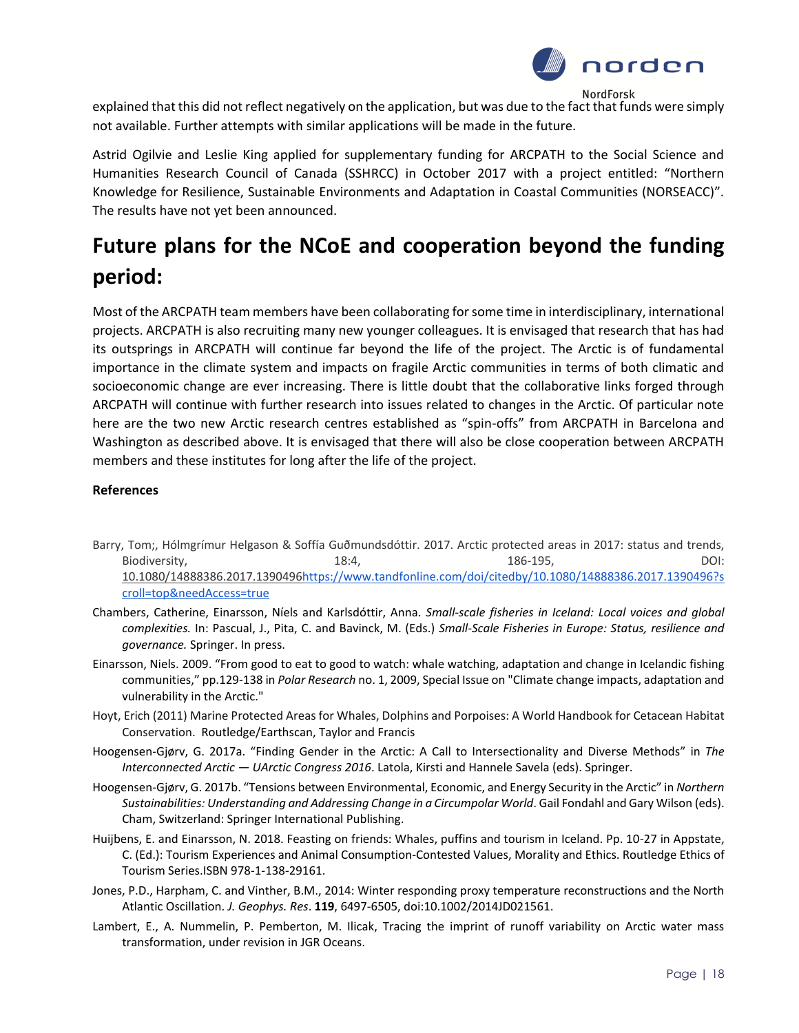

explained that this did not reflect negatively on the application, but was due to the fact that funds were simply not available. Further attempts with similar applications will be made in the future.

Astrid Ogilvie and Leslie King applied for supplementary funding for ARCPATH to the Social Science and Humanities Research Council of Canada (SSHRCC) in October 2017 with a project entitled: "Northern Knowledge for Resilience, Sustainable Environments and Adaptation in Coastal Communities (NORSEACC)". The results have not yet been announced.

# **Future plans for the NCoE and cooperation beyond the funding period:**

Most of the ARCPATH team members have been collaborating for some time in interdisciplinary, international projects. ARCPATH is also recruiting many new younger colleagues. It is envisaged that research that has had its outsprings in ARCPATH will continue far beyond the life of the project. The Arctic is of fundamental importance in the climate system and impacts on fragile Arctic communities in terms of both climatic and socioeconomic change are ever increasing. There is little doubt that the collaborative links forged through ARCPATH will continue with further research into issues related to changes in the Arctic. Of particular note here are the two new Arctic research centres established as "spin-offs" from ARCPATH in Barcelona and Washington as described above. It is envisaged that there will also be close cooperation between ARCPATH members and these institutes for long after the life of the project.

#### **References**

- Barry, Tom;, Hólmgrímur Helgason & Soffía Guðmundsdóttir. 2017. Arctic protected areas in 2017: status and trends, Biodiversity, 2001[:](https://doi.org/10.1080/14888386.2017.1390496) 2014, 2014, 2014, 2015, 2016, 2016, 2016, 2016, 2016, 2017, 2017, 2018, 2017, 2017, 2017, 2017, 2017, 2017, 2017, 2017, 2017, 2017, 2017, 2017, 2017, 2017, 2017, 2017, 2017, 2017, 2017, 2017, 2017, 2017 [10.1080/14888386.2017.1390496](https://doi.org/10.1080/14888386.2017.1390496)[https://www.tandfonline.com/doi/citedby/10.1080/14888386.2017.1390496?s](https://www.tandfonline.com/doi/citedby/10.1080/14888386.2017.1390496?scroll=top&needAccess=true) [croll=top&needAccess=true](https://www.tandfonline.com/doi/citedby/10.1080/14888386.2017.1390496?scroll=top&needAccess=true)
- Chambers, Catherine, Einarsson, Níels and Karlsdóttir, Anna. *Small-scale fisheries in Iceland: Local voices and global complexities.* In: Pascual, J., Pita, C. and Bavinck, M. (Eds.) *Small-Scale Fisheries in Europe: Status, resilience and governance.* Springer. In press.
- Einarsson, Niels. 2009. "From good to eat to good to watch: whale watching, adaptation and change in Icelandic fishing communities," pp.129-138 in *Polar Research* no. 1, 2009, Special Issue on "Climate change impacts, adaptation and vulnerability in the Arctic."
- Hoyt, Erich (2011) Marine Protected Areas for Whales, Dolphins and Porpoises: A World Handbook for Cetacean Habitat Conservation. Routledge/Earthscan, Taylor and Francis
- Hoogensen-Gjørv, G. 2017a. "Finding Gender in the Arctic: A Call to Intersectionality and Diverse Methods" in *The Interconnected Arctic — UArctic Congress 2016*. Latola, Kirsti and Hannele Savela (eds). Springer.
- Hoogensen-Gjørv, G. 2017b. "Tensions between Environmental, Economic, and Energy Security in the Arctic" in *Northern Sustainabilities: Understanding and Addressing Change in a Circumpolar World*. Gail Fondahl and Gary Wilson (eds). Cham, Switzerland: Springer International Publishing.
- Huijbens, E. and Einarsson, N. 2018. Feasting on friends: Whales, puffins and tourism in Iceland. Pp. 10-27 in Appstate, C. (Ed.): Tourism Experiences and Animal Consumption-Contested Values, Morality and Ethics. Routledge Ethics of Tourism Series.ISBN 978-1-138-29161.
- Jones, P.D., Harpham, C. and Vinther, B.M., 2014: Winter responding proxy temperature reconstructions and the North Atlantic Oscillation. *J. Geophys. Res*. **119**, 6497-6505, doi:10.1002/2014JD021561.
- Lambert, E., A. Nummelin, P. Pemberton, M. Ilicak, Tracing the imprint of runoff variability on Arctic water mass transformation, under revision in JGR Oceans.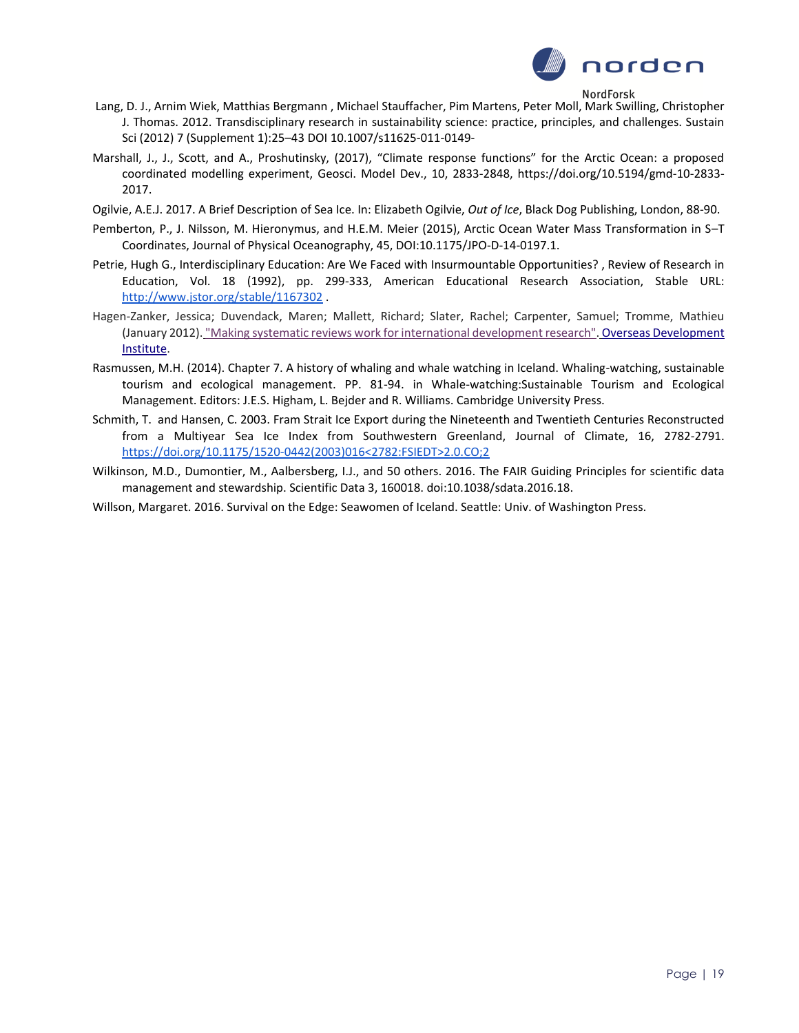

- Lang, D. J., Arnim Wiek, Matthias Bergmann , Michael Stauffacher, Pim Martens, Peter Moll, Mark Swilling, Christopher J. Thomas. 2012. Transdisciplinary research in sustainability science: practice, principles, and challenges. Sustain Sci (2012) 7 (Supplement 1):25–43 DOI 10.1007/s11625-011-0149-
- Marshall, J., J., Scott, and A., Proshutinsky, (2017), "Climate response functions" for the Arctic Ocean: a proposed coordinated modelling experiment, Geosci. Model Dev., 10, 2833-2848, https://doi.org/10.5194/gmd-10-2833- 2017.
- Ogilvie, A.E.J. 2017. A Brief Description of Sea Ice. In: Elizabeth Ogilvie, *Out of Ice*, Black Dog Publishing, London, 88-90.
- Pemberton, P., J. Nilsson, M. Hieronymus, and H.E.M. Meier (2015), Arctic Ocean Water Mass Transformation in S–T Coordinates, Journal of Physical Oceanography, 45, DOI:10.1175/JPO-D-14-0197.1.
- Petrie, Hugh G., Interdisciplinary Education: Are We Faced with Insurmountable Opportunities? , Review of Research in Education, Vol. 18 (1992), pp. 299-333, American Educational Research Association, Stable URL[:](http://www.jstor.org/stable/1167302) <http://www.jstor.org/stable/1167302> .
- Hagen-Zanker, Jessica; Duvendack, Maren; Mallett, Richard; Slater, Rachel; Carpenter, Samuel; Tromme, Mathieu (January 2012[\).](http://www.odi.org.uk/resources/details.asp?id=6260&title=systematic-review-slrc-international-development-research-methods) ["Making systematic reviews work for international development research".](http://www.odi.org.uk/resources/details.asp?id=6260&title=systematic-review-slrc-international-development-research-methods) [Overseas Development](https://en.wikipedia.org/wiki/Overseas_Development_Institute)  [Institute.](https://en.wikipedia.org/wiki/Overseas_Development_Institute)
- Rasmussen, M.H. (2014). Chapter 7. A history of whaling and whale watching in Iceland. Whaling-watching, sustainable tourism and ecological management. PP. 81-94. in Whale-watching:Sustainable Tourism and Ecological Management. Editors: J.E.S. Higham, L. Bejder and R. Williams. Cambridge University Press.
- Schmith, T. and Hansen, C. 2003. Fram Strait Ice Export during the Nineteenth and Twentieth Centuries Reconstructed from a Multiyear Sea Ice Index from Southwestern Greenland, Journal of Climate, 16, 2782-2791. [https://doi.org/10.1175/1520-0442\(2003\)016<2782:FSIEDT>2.0.CO;2](https://doi.org/10.1175/1520-0442(2003)016%3C2782:FSIEDT%3E2.0.CO;2)
- Wilkinson, M.D., Dumontier, M., Aalbersberg, I.J., and 50 others. 2016. The FAIR Guiding Principles for scientific data management and stewardship. Scientific Data 3, 160018. doi:10.1038/sdata.2016.18.
- Willson, Margaret. 2016. Survival on the Edge: Seawomen of Iceland. Seattle: Univ. of Washington Press.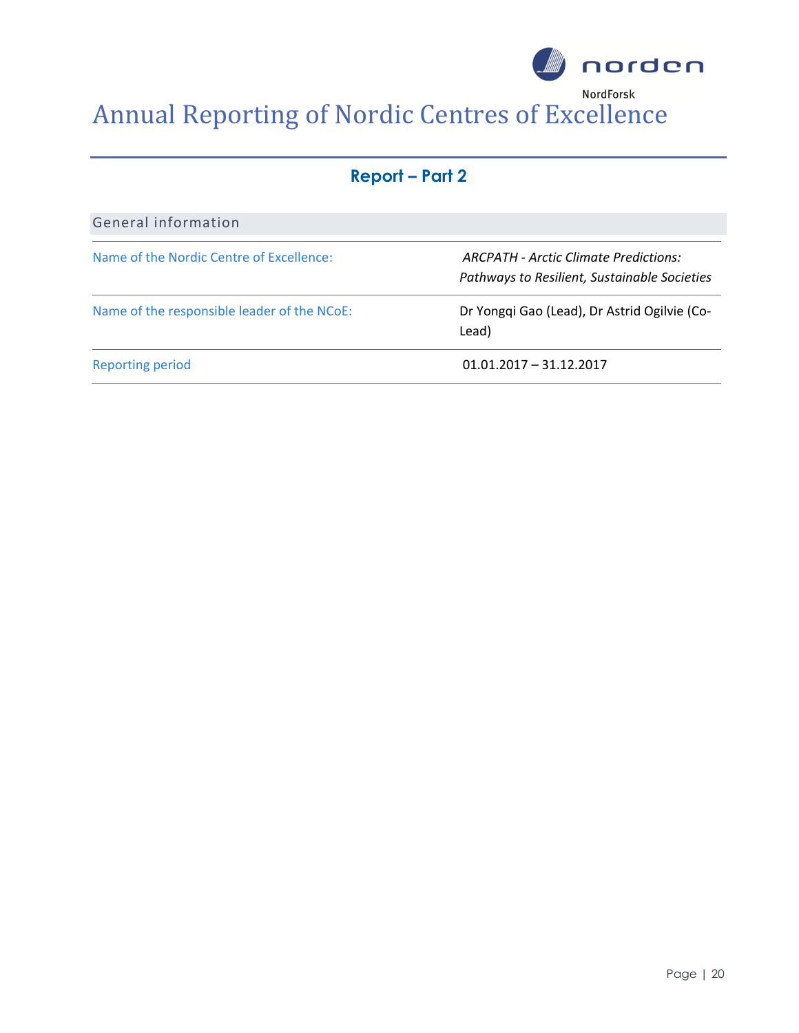

| <b>Report – Part 2</b> |
|------------------------|
|------------------------|

| General information                         |                                                                                       |
|---------------------------------------------|---------------------------------------------------------------------------------------|
| Name of the Nordic Centre of Excellence:    | ARCPATH - Arctic Climate Predictions:<br>Pathways to Resilient, Sustainable Societies |
| Name of the responsible leader of the NCoE: | Dr Yongqi Gao (Lead), Dr Astrid Ogilvie (Co-<br>Lead)                                 |
| <b>Reporting period</b>                     | $01.01.2017 - 31.12.2017$                                                             |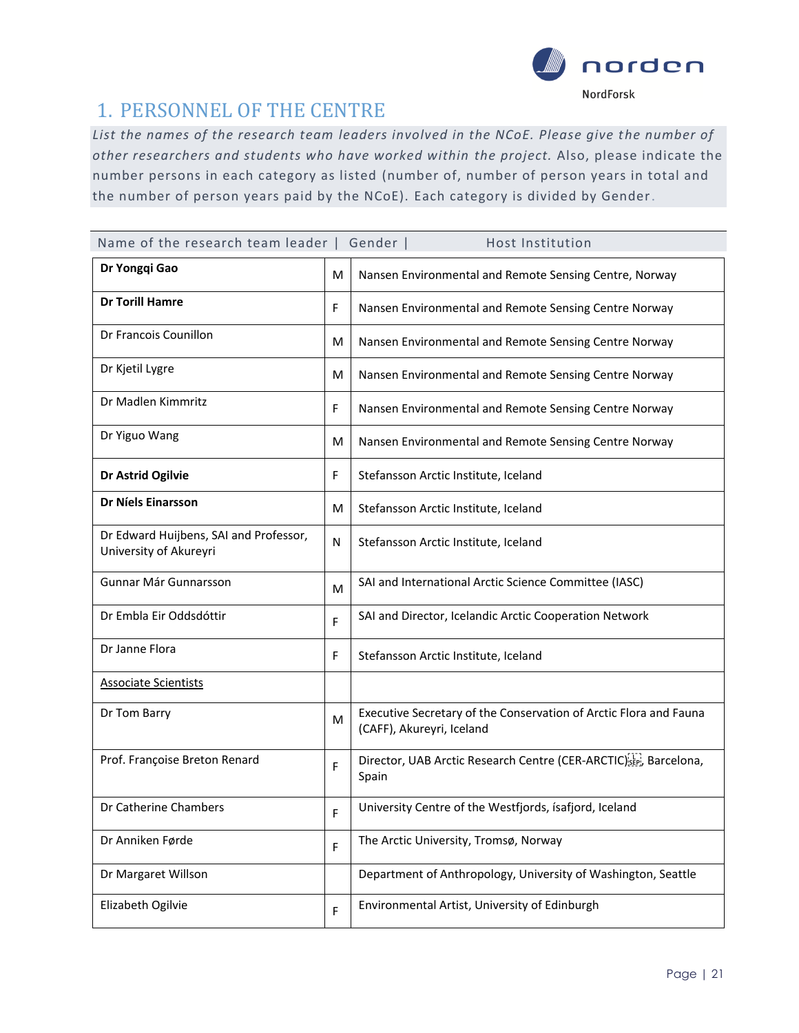

### 1. PERSONNEL OF THE CENTRE

*List the names of the research team leaders involved in the NCoE. Please give the number of other researchers and students who have worked within the project.* Also, please indicate the number persons in each category as listed (number of, number of person years in total and the number of person years paid by the NCoE). Each category is divided by Gender.

| Name of the research team leader   Gender  <br>Host Institution  |   |                                                                                                |  |  |  |
|------------------------------------------------------------------|---|------------------------------------------------------------------------------------------------|--|--|--|
| Dr Yongqi Gao                                                    | M | Nansen Environmental and Remote Sensing Centre, Norway                                         |  |  |  |
| <b>Dr Torill Hamre</b>                                           | F | Nansen Environmental and Remote Sensing Centre Norway                                          |  |  |  |
| Dr Francois Counillon                                            | м | Nansen Environmental and Remote Sensing Centre Norway                                          |  |  |  |
| Dr Kjetil Lygre                                                  | M | Nansen Environmental and Remote Sensing Centre Norway                                          |  |  |  |
| Dr Madlen Kimmritz                                               | F | Nansen Environmental and Remote Sensing Centre Norway                                          |  |  |  |
| Dr Yiguo Wang                                                    | м | Nansen Environmental and Remote Sensing Centre Norway                                          |  |  |  |
| Dr Astrid Ogilvie                                                | F | Stefansson Arctic Institute, Iceland                                                           |  |  |  |
| <b>Dr Níels Einarsson</b>                                        | м | Stefansson Arctic Institute, Iceland                                                           |  |  |  |
| Dr Edward Huijbens, SAI and Professor,<br>University of Akureyri | Ν | Stefansson Arctic Institute, Iceland                                                           |  |  |  |
| Gunnar Már Gunnarsson                                            | M | SAI and International Arctic Science Committee (IASC)                                          |  |  |  |
| Dr Embla Eir Oddsdóttir                                          | F | SAI and Director, Icelandic Arctic Cooperation Network                                         |  |  |  |
| Dr Janne Flora                                                   | F | Stefansson Arctic Institute, Iceland                                                           |  |  |  |
| <b>Associate Scientists</b>                                      |   |                                                                                                |  |  |  |
| Dr Tom Barry                                                     | M | Executive Secretary of the Conservation of Arctic Flora and Fauna<br>(CAFF), Akureyri, Iceland |  |  |  |
| Prof. Françoise Breton Renard                                    | F | Director, UAB Arctic Research Centre (CER-ARCTIC) SEP., Barcelona,<br>Spain                    |  |  |  |
| Dr Catherine Chambers                                            | F | University Centre of the Westfjords, isafjord, Iceland                                         |  |  |  |
| Dr Anniken Førde                                                 | F | The Arctic University, Tromsø, Norway                                                          |  |  |  |
| Dr Margaret Willson                                              |   | Department of Anthropology, University of Washington, Seattle                                  |  |  |  |
| Elizabeth Ogilvie                                                | F | Environmental Artist, University of Edinburgh                                                  |  |  |  |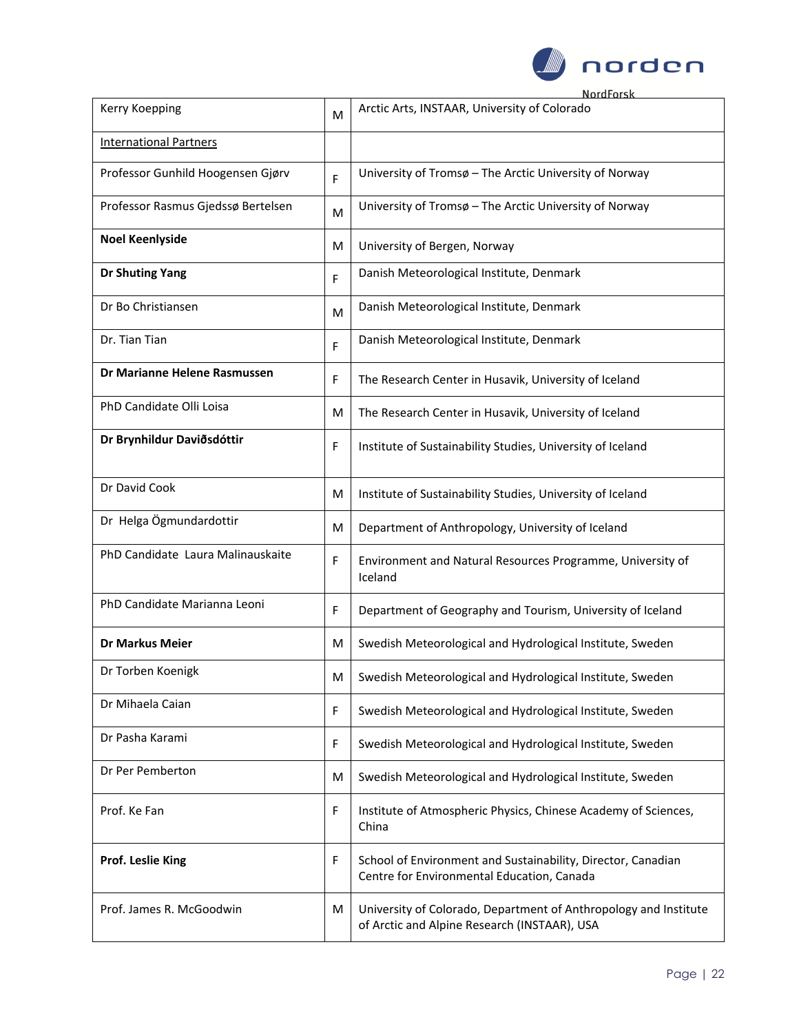

| Kerry Koepping                     | M | Arctic Arts, INSTAAR, University of Colorado                                                                     |
|------------------------------------|---|------------------------------------------------------------------------------------------------------------------|
| <b>International Partners</b>      |   |                                                                                                                  |
| Professor Gunhild Hoogensen Gjørv  | F | University of Tromsø - The Arctic University of Norway                                                           |
| Professor Rasmus Gjedssø Bertelsen | M | University of Tromsø - The Arctic University of Norway                                                           |
| <b>Noel Keenlyside</b>             | M | University of Bergen, Norway                                                                                     |
| <b>Dr Shuting Yang</b>             | F | Danish Meteorological Institute, Denmark                                                                         |
| Dr Bo Christiansen                 | M | Danish Meteorological Institute, Denmark                                                                         |
| Dr. Tian Tian                      | F | Danish Meteorological Institute, Denmark                                                                         |
| Dr Marianne Helene Rasmussen       | F | The Research Center in Husavik, University of Iceland                                                            |
| PhD Candidate Olli Loisa           | м | The Research Center in Husavik, University of Iceland                                                            |
| Dr Brynhildur Daviðsdóttir         | F | Institute of Sustainability Studies, University of Iceland                                                       |
| Dr David Cook                      | M | Institute of Sustainability Studies, University of Iceland                                                       |
| Dr Helga Ögmundardottir            | м | Department of Anthropology, University of Iceland                                                                |
| PhD Candidate Laura Malinauskaite  | F | Environment and Natural Resources Programme, University of<br>Iceland                                            |
| PhD Candidate Marianna Leoni       | F | Department of Geography and Tourism, University of Iceland                                                       |
| <b>Dr Markus Meier</b>             | M | Swedish Meteorological and Hydrological Institute, Sweden                                                        |
| Dr Torben Koenigk                  | M | Swedish Meteorological and Hydrological Institute, Sweden                                                        |
| Dr Mihaela Caian                   | F | Swedish Meteorological and Hydrological Institute, Sweden                                                        |
| Dr Pasha Karami                    | F | Swedish Meteorological and Hydrological Institute, Sweden                                                        |
| Dr Per Pemberton                   | м | Swedish Meteorological and Hydrological Institute, Sweden                                                        |
| Prof. Ke Fan                       | F | Institute of Atmospheric Physics, Chinese Academy of Sciences,<br>China                                          |
| Prof. Leslie King                  | F | School of Environment and Sustainability, Director, Canadian<br>Centre for Environmental Education, Canada       |
| Prof. James R. McGoodwin           | M | University of Colorado, Department of Anthropology and Institute<br>of Arctic and Alpine Research (INSTAAR), USA |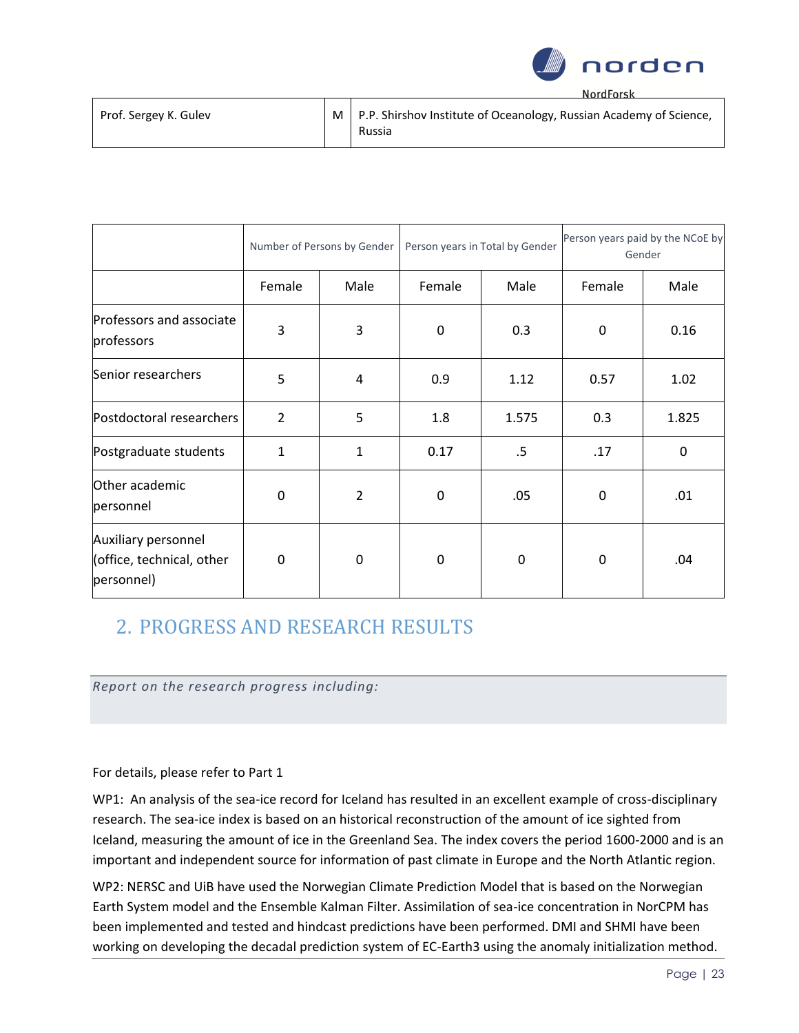

| Prof. Sergey K. Gulev | $\mid$ M $\mid$ P.P. Shirshov Institute of Oceanology, Russian Academy of Science, |
|-----------------------|------------------------------------------------------------------------------------|
|                       | Russia                                                                             |

|                                                                | Number of Persons by Gender |                |        | Person years in Total by Gender | Person years paid by the NCoE by<br>Gender |       |
|----------------------------------------------------------------|-----------------------------|----------------|--------|---------------------------------|--------------------------------------------|-------|
|                                                                | Female                      | Male           | Female | Male                            | Female                                     | Male  |
| Professors and associate<br>professors                         | 3                           | 3              | 0      | 0.3                             | $\mathbf 0$                                | 0.16  |
| Senior researchers                                             | 5                           | 4              | 0.9    | 1.12                            | 0.57                                       | 1.02  |
| Postdoctoral researchers                                       | $\overline{2}$              | 5              | 1.8    | 1.575                           | 0.3                                        | 1.825 |
| Postgraduate students                                          | $\mathbf{1}$                | $\mathbf{1}$   | 0.17   | .5                              | .17                                        | 0     |
| Other academic<br>personnel                                    | 0                           | $\overline{2}$ | 0      | .05                             | 0                                          | .01   |
| Auxiliary personnel<br>(office, technical, other<br>personnel) | $\mathbf 0$                 | 0              | 0      | 0                               | $\mathbf 0$                                | .04   |

### 2. PROGRESS AND RESEARCH RESULTS

*Report on the research progress including:*

### For details, please refer to Part 1

WP1: An analysis of the sea-ice record for Iceland has resulted in an excellent example of cross-disciplinary research. The sea-ice index is based on an historical reconstruction of the amount of ice sighted from Iceland, measuring the amount of ice in the Greenland Sea. The index covers the period 1600-2000 and is an important and independent source for information of past climate in Europe and the North Atlantic region.

WP2: NERSC and UiB have used the Norwegian Climate Prediction Model that is based on the Norwegian Earth System model and the Ensemble Kalman Filter. Assimilation of sea-ice concentration in NorCPM has been implemented and tested and hindcast predictions have been performed. DMI and SHMI have been working on developing the decadal prediction system of EC-Earth3 using the anomaly initialization method.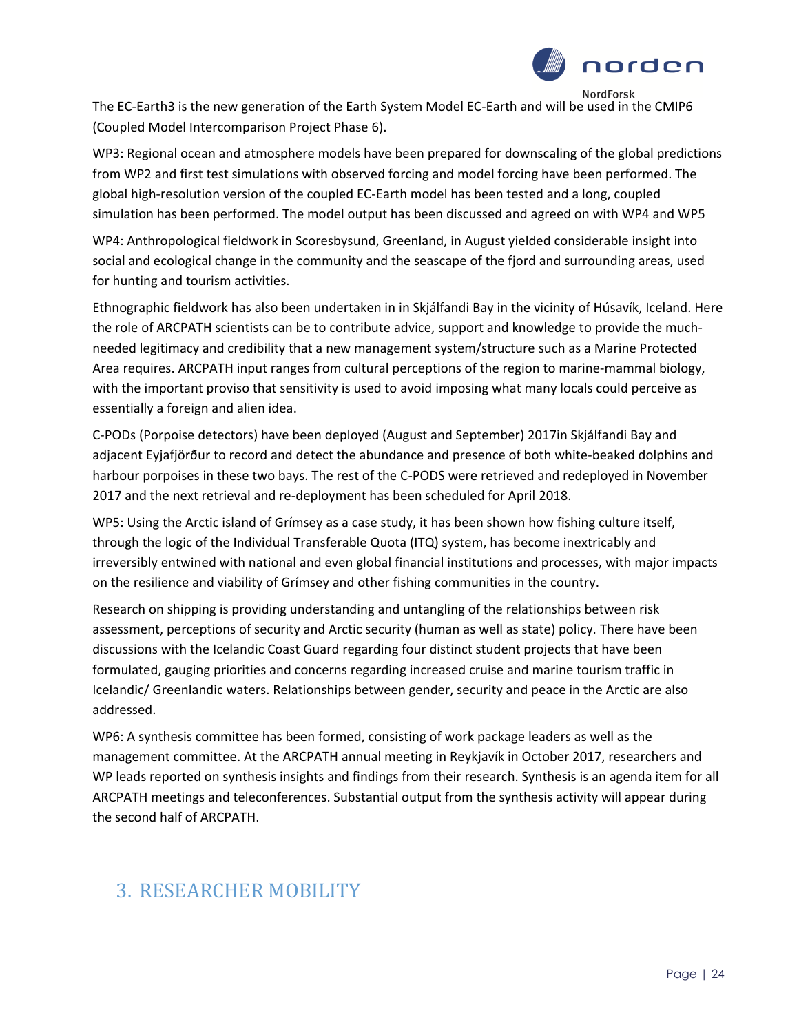

The EC-Earth3 is the new generation of the Earth System Model EC-Earth and will be used in the CMIP6 (Coupled Model Intercomparison Project Phase 6).

WP3: Regional ocean and atmosphere models have been prepared for downscaling of the global predictions from WP2 and first test simulations with observed forcing and model forcing have been performed. The global high-resolution version of the coupled EC-Earth model has been tested and a long, coupled simulation has been performed. The model output has been discussed and agreed on with WP4 and WP5

WP4: Anthropological fieldwork in Scoresbysund, Greenland, in August yielded considerable insight into social and ecological change in the community and the seascape of the fjord and surrounding areas, used for hunting and tourism activities.

Ethnographic fieldwork has also been undertaken in in Skjálfandi Bay in the vicinity of Húsavík, Iceland. Here the role of ARCPATH scientists can be to contribute advice, support and knowledge to provide the muchneeded legitimacy and credibility that a new management system/structure such as a Marine Protected Area requires. ARCPATH input ranges from cultural perceptions of the region to marine-mammal biology, with the important proviso that sensitivity is used to avoid imposing what many locals could perceive as essentially a foreign and alien idea.

C-PODs (Porpoise detectors) have been deployed (August and September) 2017in Skjálfandi Bay and adjacent Eyjafjörður to record and detect the abundance and presence of both white-beaked dolphins and harbour porpoises in these two bays. The rest of the C-PODS were retrieved and redeployed in November 2017 and the next retrieval and re-deployment has been scheduled for April 2018.

WP5: Using the Arctic island of Grímsey as a case study, it has been shown how fishing culture itself, through the logic of the Individual Transferable Quota (ITQ) system, has become inextricably and irreversibly entwined with national and even global financial institutions and processes, with major impacts on the resilience and viability of Grímsey and other fishing communities in the country.

Research on shipping is providing understanding and untangling of the relationships between risk assessment, perceptions of security and Arctic security (human as well as state) policy. There have been discussions with the Icelandic Coast Guard regarding four distinct student projects that have been formulated, gauging priorities and concerns regarding increased cruise and marine tourism traffic in Icelandic/ Greenlandic waters. Relationships between gender, security and peace in the Arctic are also addressed.

WP6: A synthesis committee has been formed, consisting of work package leaders as well as the management committee. At the ARCPATH annual meeting in Reykjavík in October 2017, researchers and WP leads reported on synthesis insights and findings from their research. Synthesis is an agenda item for all ARCPATH meetings and teleconferences. Substantial output from the synthesis activity will appear during the second half of ARCPATH.

# 3. RESEARCHER MOBILITY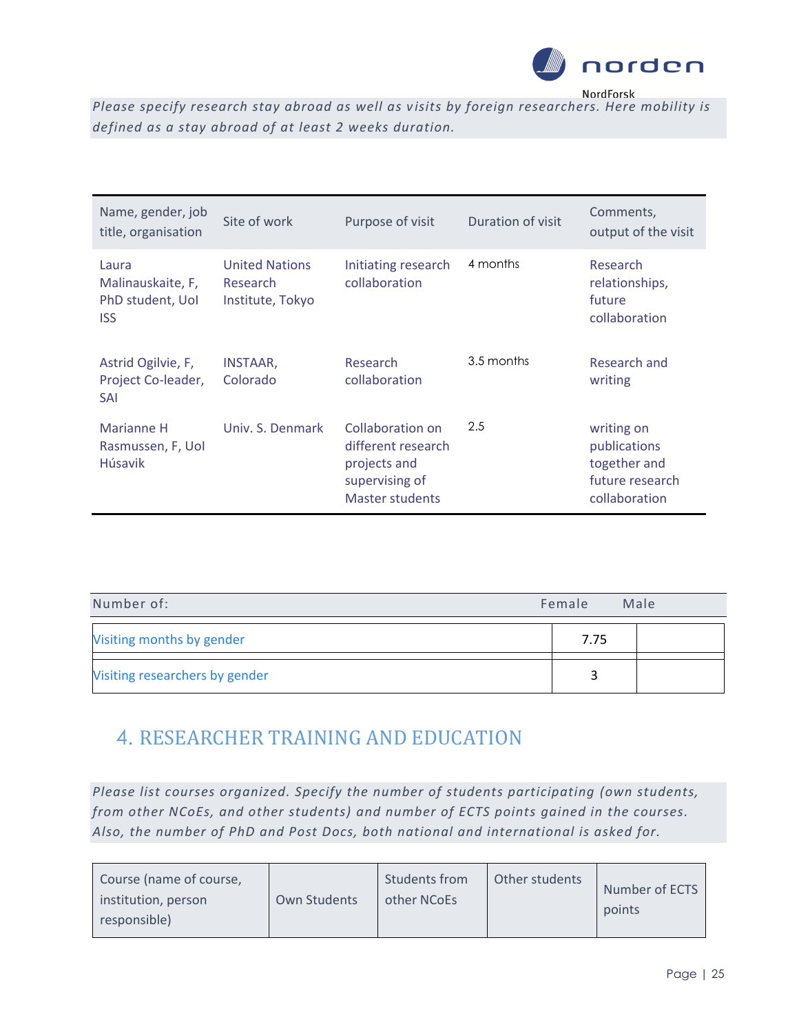

*Please specify research stay abroad as well as v isits by foreign researchers. Here mobility is defined as a stay abroad of at least 2 weeks duration.* 

| Name, gender, job<br>title, organisation                     | Site of work                                          | Purpose of visit                                                                                   | Duration of visit | Comments,<br>output of the visit                                               |
|--------------------------------------------------------------|-------------------------------------------------------|----------------------------------------------------------------------------------------------------|-------------------|--------------------------------------------------------------------------------|
| Laura<br>Malinauskaite, F,<br>PhD student, Uol<br><b>ISS</b> | <b>United Nations</b><br>Research<br>Institute, Tokyo | Initiating research<br>collaboration                                                               | 4 months          | Research<br>relationships,<br>future<br>collaboration                          |
| Astrid Ogilvie, F,<br>Project Co-leader,<br><b>SAI</b>       | <b>INSTAAR,</b><br>Colorado                           | Research<br>collaboration                                                                          | 3.5 months        | Research and<br>writing                                                        |
| Marianne H<br>Rasmussen, F, Uol<br><b>H</b> úsavik           | Univ. S. Denmark                                      | Collaboration on<br>different research<br>projects and<br>supervising of<br><b>Master students</b> | 2.5               | writing on<br>publications<br>together and<br>future research<br>collaboration |

| Number of:                     | Female | Male |
|--------------------------------|--------|------|
| Visiting months by gender      | 7.75   |      |
| Visiting researchers by gender |        |      |

# 4. RESEARCHER TRAINING AND EDUCATION

*Please list courses organized. Specify the number of students participating (own students, from other NCoEs, and other students) and number of ECTS points gained in the courses. Also, the number of PhD and Post Docs, both national and international is asked for.* 

| Course (name of course,<br>institution, person<br>responsible) | Own Students | Students from<br>other NCoEs | Other students | Number of ECTS<br>points |
|----------------------------------------------------------------|--------------|------------------------------|----------------|--------------------------|
|----------------------------------------------------------------|--------------|------------------------------|----------------|--------------------------|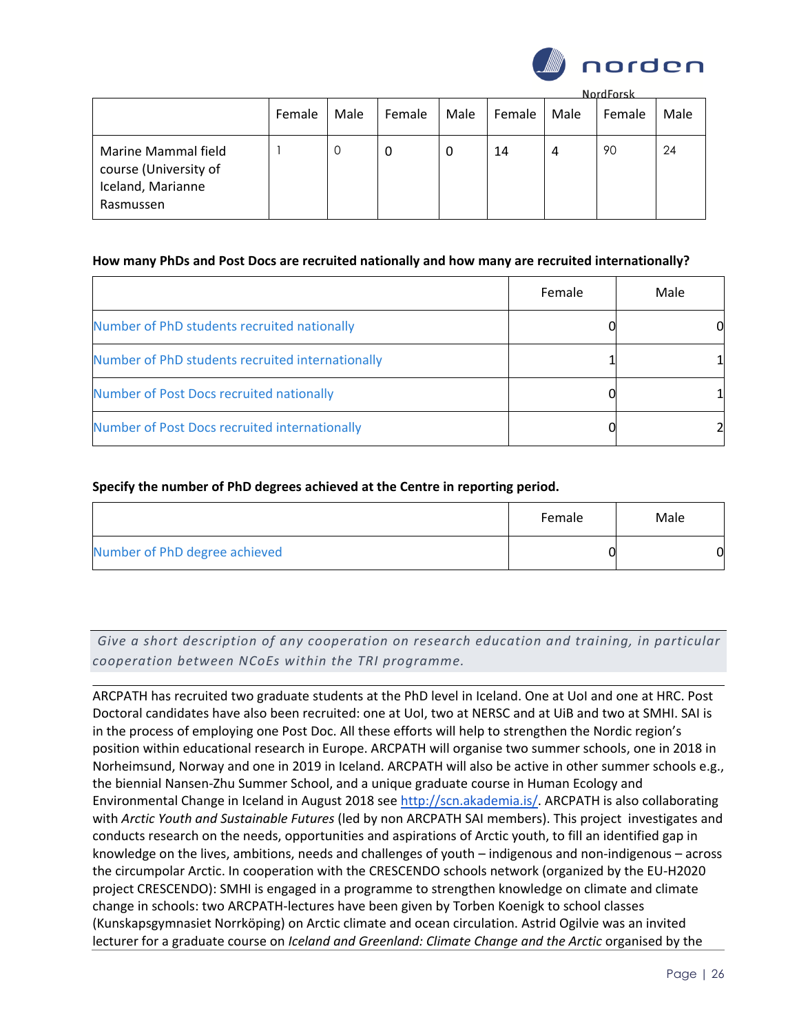

**NordForck** 

|                                                                                | Female | Male | Female | Male | Female | Male | <b>NOTATOLSK</b><br>Female | Male |
|--------------------------------------------------------------------------------|--------|------|--------|------|--------|------|----------------------------|------|
| Marine Mammal field<br>course (University of<br>Iceland, Marianne<br>Rasmussen |        |      | υ      | 0    | 14     | 4    | 90                         | 24   |

#### **How many PhDs and Post Docs are recruited nationally and how many are recruited internationally?**

|                                                  | Female | Male |
|--------------------------------------------------|--------|------|
| Number of PhD students recruited nationally      |        |      |
| Number of PhD students recruited internationally |        |      |
| Number of Post Docs recruited nationally         |        |      |
| Number of Post Docs recruited internationally    |        |      |

#### **Specify the number of PhD degrees achieved at the Centre in reporting period.**

|                               | Female | Male |
|-------------------------------|--------|------|
| Number of PhD degree achieved |        | 0    |

*Give a short description of any cooperation on research education and training, in particular cooperation between NCoEs within the TRI programme.*

ARCPATH has recruited two graduate students at the PhD level in Iceland. One at UoI and one at HRC. Post Doctoral candidates have also been recruited: one at UoI, two at NERSC and at UiB and two at SMHI. SAI is in the process of employing one Post Doc. All these efforts will help to strengthen the Nordic region's position within educational research in Europe. ARCPATH will organise two summer schools, one in 2018 in Norheimsund, Norway and one in 2019 in Iceland. ARCPATH will also be active in other summer schools e.g., the biennial Nansen-Zhu Summer School, and a unique graduate course in Human Ecology and Environmental Change in Iceland in August 2018 see [http://scn.akademia.is/.](http://scn.akademia.is/) ARCPATH is also collaborating with *Arctic Youth and Sustainable Futures* (led by non ARCPATH SAI members). This project investigates and conducts research on the needs, opportunities and aspirations of Arctic youth, to fill an identified gap in knowledge on the lives, ambitions, needs and challenges of youth – indigenous and non-indigenous – across the circumpolar Arctic. In cooperation with the CRESCENDO schools network (organized by the EU-H2020 project CRESCENDO): SMHI is engaged in a programme to strengthen knowledge on climate and climate change in schools: two ARCPATH-lectures have been given by Torben Koenigk to school classes (Kunskapsgymnasiet Norrköping) on Arctic climate and ocean circulation. Astrid Ogilvie was an invited lecturer for a graduate course on *Iceland and Greenland: Climate Change and the Arctic* organised by the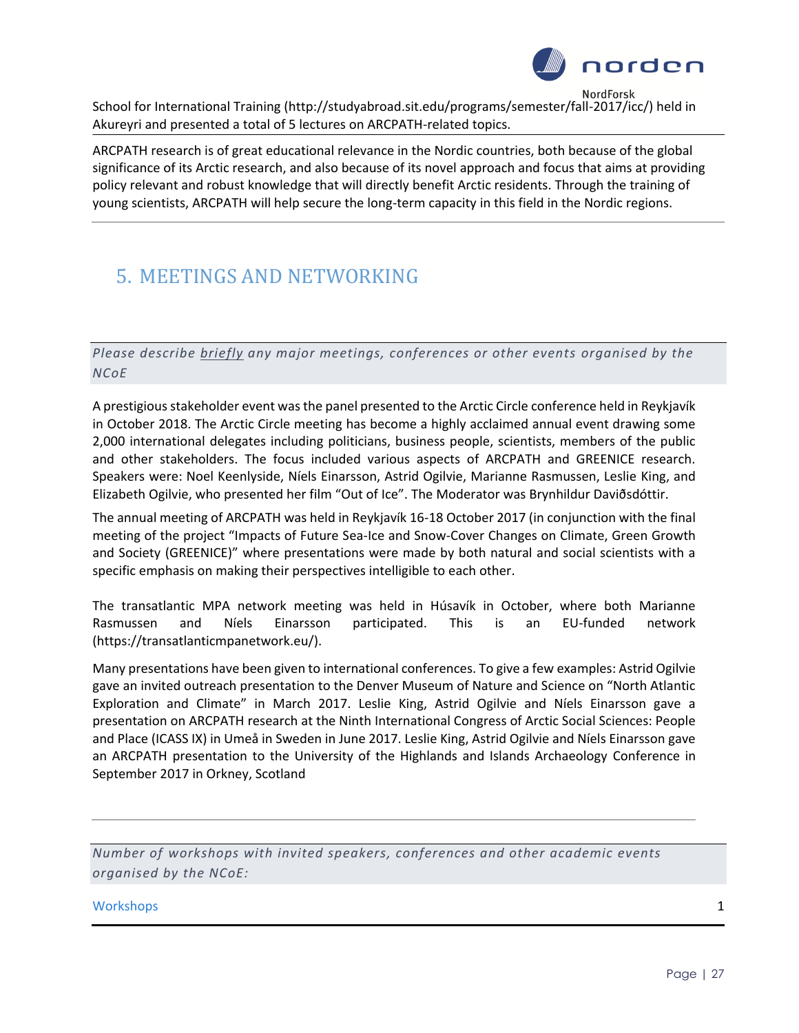

School for International Training (http://studyabroad.sit.edu/programs/semester/fall-2017/icc/) held in Akureyri and presented a total of 5 lectures on ARCPATH-related topics.

ARCPATH research is of great educational relevance in the Nordic countries, both because of the global significance of its Arctic research, and also because of its novel approach and focus that aims at providing policy relevant and robust knowledge that will directly benefit Arctic residents. Through the training of young scientists, ARCPATH will help secure the long-term capacity in this field in the Nordic regions.

# 5. MEETINGS AND NETWORKING

*Please describe briefly any major meetings, conferences or other events organised by the NCoE* 

A prestigious stakeholder event was the panel presented to the Arctic Circle conference held in Reykjavík in October 2018. The Arctic Circle meeting has become a highly acclaimed annual event drawing some 2,000 international delegates including politicians, business people, scientists, members of the public and other stakeholders. The focus included various aspects of ARCPATH and GREENICE research. Speakers were: Noel Keenlyside, Níels Einarsson, Astrid Ogilvie, Marianne Rasmussen, Leslie King, and Elizabeth Ogilvie, who presented her film "Out of Ice". The Moderator was Brynhildur Daviðsdóttir.

The annual meeting of ARCPATH was held in Reykjavík 16-18 October 2017 (in conjunction with the final meeting of the project "Impacts of Future Sea-Ice and Snow-Cover Changes on Climate, Green Growth and Society (GREENICE)" where presentations were made by both natural and social scientists with a specific emphasis on making their perspectives intelligible to each other.

The transatlantic MPA network meeting was held in Húsavík in October, where both Marianne Rasmussen and Níels Einarsson participated. This is an EU-funded network (https://transatlanticmpanetwork.eu/).

Many presentations have been given to international conferences. To give a few examples: Astrid Ogilvie gave an invited outreach presentation to the Denver Museum of Nature and Science on "North Atlantic Exploration and Climate" in March 2017. Leslie King, Astrid Ogilvie and Níels Einarsson gave a presentation on ARCPATH research at the Ninth International Congress of Arctic Social Sciences: People and Place (ICASS IX) in Umeå in Sweden in June 2017. Leslie King, Astrid Ogilvie and Níels Einarsson gave an ARCPATH presentation to the University of the Highlands and Islands Archaeology Conference in September 2017 in Orkney, Scotland

*Number of workshops with invited speakers, conferences and other academic events organised by the NCoE:*

workshops and the contract of the contract of the contract of the contract of the contract of the contract of the contract of the contract of the contract of the contract of the contract of the contract of the contract of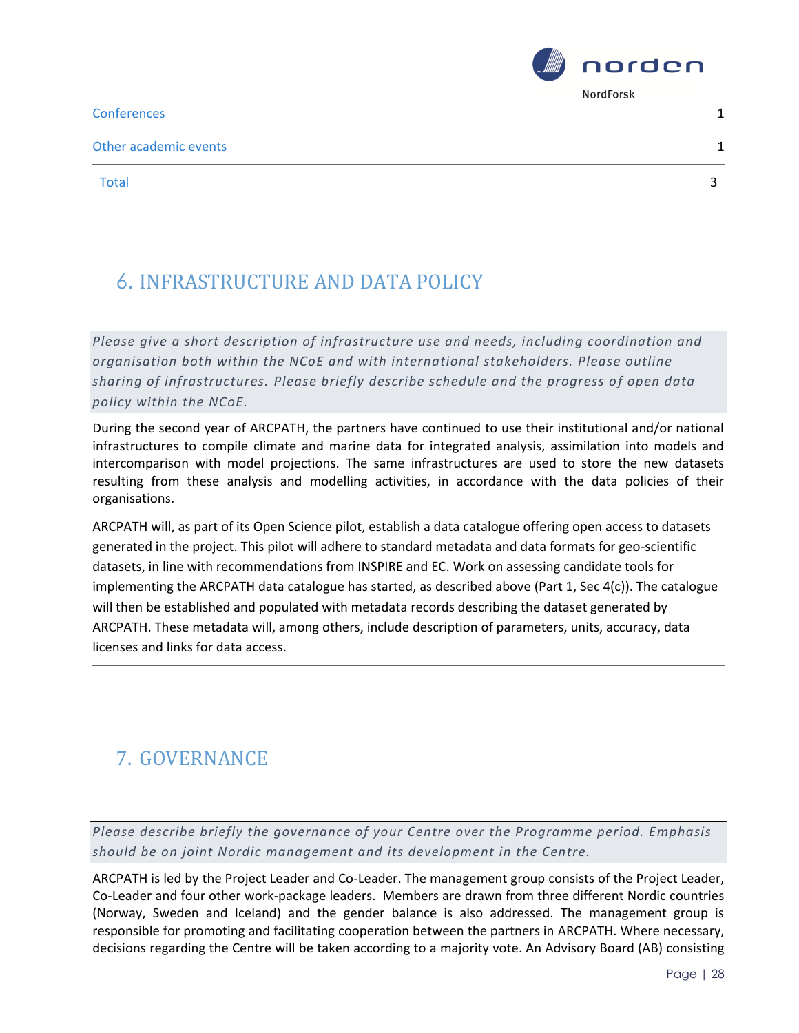**Conferences** 2012 **1** 

Other academic events 1



Total 33 and 33 and 34 and 35 and 35 and 35 and 35 and 35 and 35 and 35 and 35 and 35 and 35 and 35 and 35 and 35 and 36 and 36 and 36 and 36 and 36 and 36 and 36 and 36 and 36 and 36 and 36 and 36 and 36 and 36 and 36 and

# 6. INFRASTRUCTURE AND DATA POLICY

*Please give a short description of infrastructure use and needs, including coordination and organisation both within the NCoE and with international stakeholders. Please outline sharing of infrastructures. Please briefly describe schedule and the progress of open data policy within the NCoE.* 

During the second year of ARCPATH, the partners have continued to use their institutional and/or national infrastructures to compile climate and marine data for integrated analysis, assimilation into models and intercomparison with model projections. The same infrastructures are used to store the new datasets resulting from these analysis and modelling activities, in accordance with the data policies of their organisations.

ARCPATH will, as part of its Open Science pilot, establish a data catalogue offering open access to datasets generated in the project. This pilot will adhere to standard metadata and data formats for geo-scientific datasets, in line with recommendations from INSPIRE and EC. Work on assessing candidate tools for implementing the ARCPATH data catalogue has started, as described above (Part 1, Sec 4(c)). The catalogue will then be established and populated with metadata records describing the dataset generated by ARCPATH. These metadata will, among others, include description of parameters, units, accuracy, data licenses and links for data access.

# 7. GOVERNANCE

*Please describe briefly the governance of your Centre over the Programme period. Emphasis should be on joint Nordic management and its development in the Centre.*

ARCPATH is led by the Project Leader and Co-Leader. The management group consists of the Project Leader, Co-Leader and four other work-package leaders. Members are drawn from three different Nordic countries (Norway, Sweden and Iceland) and the gender balance is also addressed. The management group is responsible for promoting and facilitating cooperation between the partners in ARCPATH. Where necessary, decisions regarding the Centre will be taken according to a majority vote. An Advisory Board (AB) consisting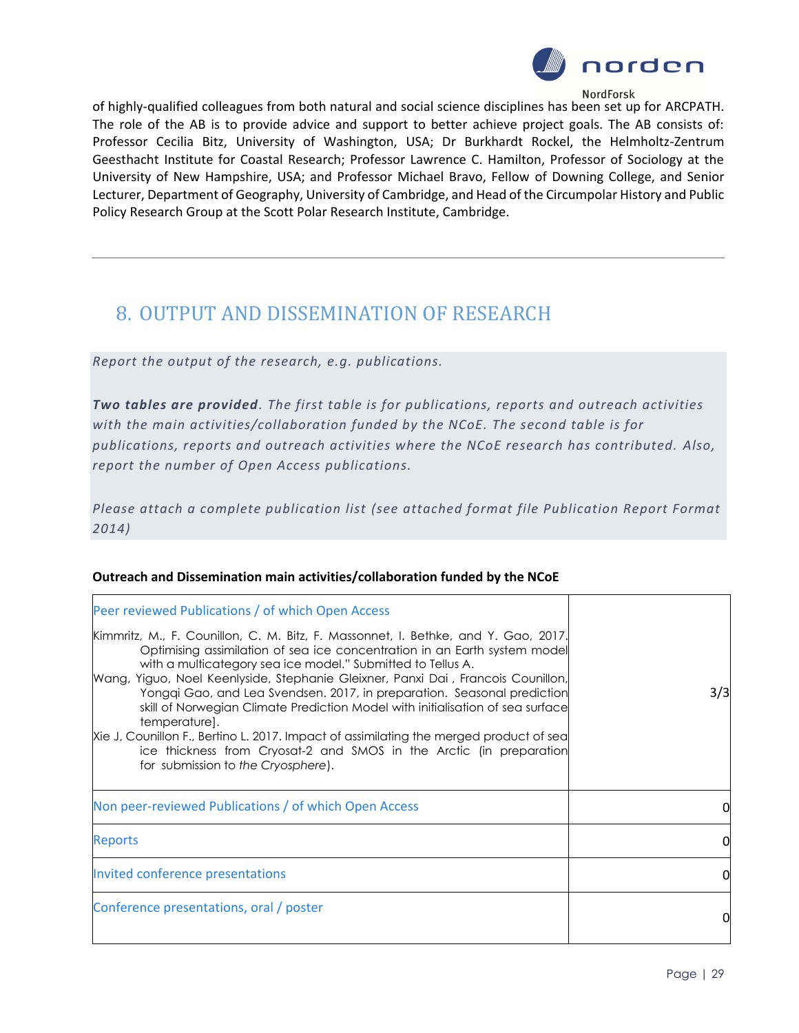

of highly-qualified colleagues from both natural and social science disciplines has been set up for ARCPATH. The role of the AB is to provide advice and support to better achieve project goals. The AB consists of: Professor Cecilia Bitz, University of Washington, USA; Dr Burkhardt Rockel, the Helmholtz-Zentrum Geesthacht Institute for Coastal Research; Professor Lawrence C. Hamilton, Professor of Sociology at the University of New Hampshire, USA; and Professor Michael Bravo, Fellow of Downing College, and Senior Lecturer, Department of Geography, University of Cambridge, and Head of the Circumpolar History and Public Policy Research Group at the Scott Polar Research Institute, Cambridge.

### 8. OUTPUT AND DISSEMINATION OF RESEARCH

*Report the output of the research, e.g. publications.* 

*Two tables are provided. The first table is for publications, reports and outreach activities with the main activities/collaboration funded by the NCoE. The second table is for publications, reports and outreach activities where the NCoE research has contributed. Also, report the number of Open Access publications.*

*Please attach a complete publication list (see attached format file Publication Report Format 2014)*

### Peer reviewed Publications / of which Open Access Kimmritz, M., F. Counillon, C. M. Bitz, F. Massonnet, I. Bethke, and Y. Gao, 2017. Optimising assimilation of sea ice concentration in an Earth system model with a multicategory sea ice model." Submitted to Tellus A. Wang, Yiguo, Noel Keenlyside, Stephanie Gleixner, Panxi Dai , Francois Counillon, Yongqi Gao, and Lea Svendsen. 2017, in preparation. Seasonal prediction skill of Norwegian Climate Prediction Model with initialisation of sea surface temperature]. Xie J, Counillon F., Bertino L. 2017. Impact of assimilating the merged product of sea ice thickness from Cryosat-2 and SMOS in the Arctic (in preparation for submission to *the Cryosphere*). 3/3 Non peer-reviewed Publications / of which Open Access 0 Reports the contract of the contract of the contract of the contract of the contract of the contract of the contract of the contract of the contract of the contract of the contract of the contract of the contract of the co Invited conference presentations 0 Conference presentations, oral / poster 0

**Outreach and Dissemination main activities/collaboration funded by the NCoE**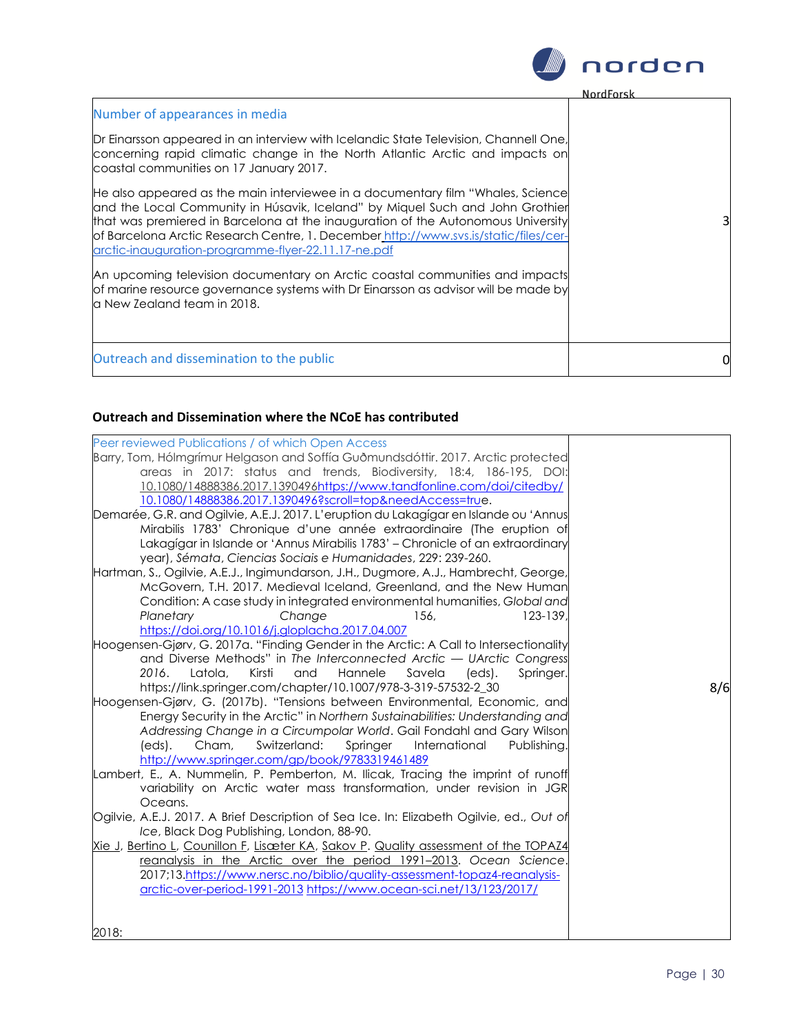

| Number of appearances in media                                                                                                                                                                                                                                                                                                                                                                                                                                                                                                                                                                            |  |
|-----------------------------------------------------------------------------------------------------------------------------------------------------------------------------------------------------------------------------------------------------------------------------------------------------------------------------------------------------------------------------------------------------------------------------------------------------------------------------------------------------------------------------------------------------------------------------------------------------------|--|
| Dr Einarsson appeared in an interview with Icelandic State Television, Channell One,<br>concerning rapid climatic change in the North Atlantic Arctic and impacts on<br>coastal communities on 17 January 2017.                                                                                                                                                                                                                                                                                                                                                                                           |  |
| He also appeared as the main interviewee in a documentary film "Whales, Science<br>and the Local Community in Húsavik, Iceland" by Miquel Such and John Grothier<br>that was premiered in Barcelona at the inauguration of the Autonomous University<br>of Barcelona Arctic Research Centre, 1. December_http://www.svs.is/static/files/cer-<br>arctic-inauguration-programme-flyer-22.11.17-ne.pdf<br>An upcoming television documentary on Arctic coastal communities and impacts<br>of marine resource governance systems with Dr Einarsson as advisor will be made by<br>la New Zealand team in 2018. |  |
| Outreach and dissemination to the public                                                                                                                                                                                                                                                                                                                                                                                                                                                                                                                                                                  |  |

### **Outreach and Dissemination where the NCoE has contributed**

| Peer reviewed Publications / of which Open Access                                                                                                                 |     |
|-------------------------------------------------------------------------------------------------------------------------------------------------------------------|-----|
| Barry, Tom, Hólmgrímur Helgason and Soffía Guðmundsdóttir. 2017. Arctic protected                                                                                 |     |
| areas in 2017: status and trends, Biodiversity, 18:4, 186-195, DOI:                                                                                               |     |
| 10.1080/14888386.2017.1390496https://www.tandfonline.com/doi/citedby/                                                                                             |     |
| 10.1080/14888386.2017.1390496?scroll=top&needAccess=true.                                                                                                         |     |
| Demarée, G.R. and Ogilvie, A.E.J. 2017. L'eruption du Lakagígar en Islande ou 'Annus                                                                              |     |
| Mirabilis 1783' Chronique d'une année extraordinaire (The eruption of                                                                                             |     |
| Lakagígar in Islande or 'Annus Mirabilis 1783' - Chronicle of an extraordinary                                                                                    |     |
| year), Sémata, Ciencias Sociais e Humanidades, 229: 239-260.                                                                                                      |     |
| Hartman, S., Ogilvie, A.E.J., Ingimundarson, J.H., Dugmore, A.J., Hambrecht, George,                                                                              |     |
| McGovern, T.H. 2017. Medieval Iceland, Greenland, and the New Human                                                                                               |     |
| Condition: A case study in integrated environmental humanities, Global and                                                                                        |     |
| $123 - 139.$<br>Planetary<br>Change<br>156,                                                                                                                       |     |
| https://doi.org/10.1016/j.gloplacha.2017.04.007                                                                                                                   |     |
| Hoogensen-Gjørv, G. 2017a. "Finding Gender in the Arctic: A Call to Intersectionality                                                                             |     |
| and Diverse Methods" in The Interconnected Arctic — UArctic Congress                                                                                              |     |
| Hannele<br>Latola,<br>Kirsti<br>and<br>Savela<br>Springer.<br>2016.<br>(eds).                                                                                     |     |
| https://link.springer.com/chapter/10.1007/978-3-319-57532-2_30                                                                                                    | 8/6 |
| Hoogensen-Gjørv, G. (2017b). "Tensions between Environmental, Economic, and                                                                                       |     |
| Energy Security in the Arctic" in Northern Sustainabilities: Understanding and                                                                                    |     |
| Addressing Change in a Circumpolar World. Gail Fondahl and Gary Wilson                                                                                            |     |
| Switzerland:<br>International<br>Publishing.<br>(eds).<br>Cham,<br>Springer                                                                                       |     |
| http://www.springer.com/gp/book/9783319461489                                                                                                                     |     |
| Lambert, E., A. Nummelin, P. Pemberton, M. Ilicak, Tracing the imprint of runoff                                                                                  |     |
| variability on Arctic water mass transformation, under revision in JGR                                                                                            |     |
| Oceans.                                                                                                                                                           |     |
| Ogilvie, A.E.J. 2017. A Brief Description of Sea Ice. In: Elizabeth Ogilvie, ed., Out of                                                                          |     |
| Ice, Black Dog Publishing, London, 88-90.                                                                                                                         |     |
| <u>Xie J, Bertino L, Counillon F, Lisæter KA, Sakov P. Quality assessment of the TOPAZ4</u><br>reanalysis in the Arctic over the period 1991-2013. Ocean Science. |     |
| 2017;13.https://www.nersc.no/biblio/quality-assessment-topaz4-reanalysis-                                                                                         |     |
| arctic-over-period-1991-2013 https://www.ocean-sci.net/13/123/2017/                                                                                               |     |
|                                                                                                                                                                   |     |
|                                                                                                                                                                   |     |
| 2018:                                                                                                                                                             |     |

Page | 30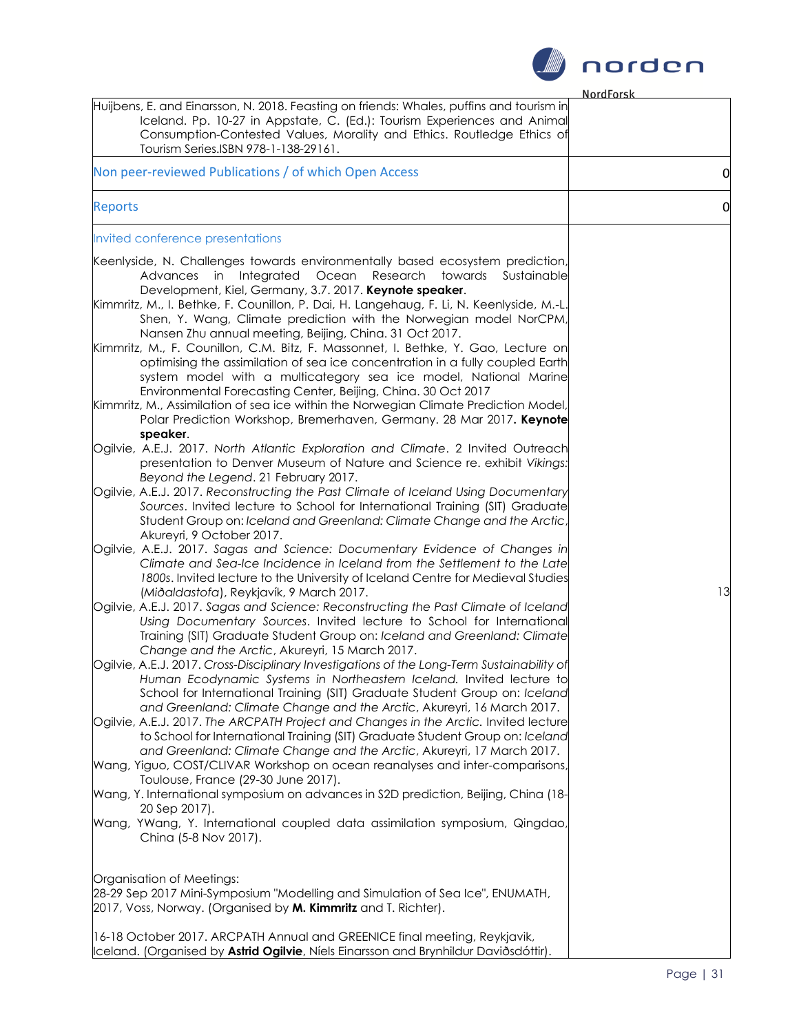

**NordForch** 

| Iceland. Pp. 10-27 in Appstate, C. (Ed.): Tourism Experiences and Animal<br>Consumption-Contested Values, Morality and Ethics. Routledge Ethics of<br>Tourism Series.ISBN 978-1-138-29161.<br>Non peer-reviewed Publications / of which Open Access<br><b>Reports</b><br>Invited conference presentations<br>Keenlyside, N. Challenges towards environmentally based ecosystem prediction,<br>Advances in Integrated Ocean<br>Research towards<br>Sustainable<br>Development, Kiel, Germany, 3.7. 2017. Keynote speaker.<br>Kimmritz, M., I. Bethke, F. Counillon, P. Dai, H. Langehaug, F. Li, N. Keenlyside, M.-L.<br>Shen, Y. Wang, Climate prediction with the Norwegian model NorCPM,<br>Nansen Zhu annual meeting, Beijing, China. 31 Oct 2017.<br>Kimmritz, M., F. Counillon, C.M. Bitz, F. Massonnet, I. Bethke, Y. Gao, Lecture on<br>optimising the assimilation of sea ice concentration in a fully coupled Earth<br>system model with a multicategory sea ice model, National Marine<br>Environmental Forecasting Center, Beijing, China. 30 Oct 2017<br>Kimmritz, M., Assimilation of sea ice within the Norwegian Climate Prediction Model,<br>Polar Prediction Workshop, Bremerhaven, Germany. 28 Mar 2017. Keynote<br>speaker.<br>Ogilvie, A.E.J. 2017. North Atlantic Exploration and Climate. 2 Invited Outreach<br>presentation to Denver Museum of Nature and Science re. exhibit Vikings:<br>Beyond the Legend. 21 February 2017.<br>Ogilvie, A.E.J. 2017. Reconstructing the Past Climate of Iceland Using Documentary<br>Sources. Invited lecture to School for International Training (SIT) Graduate<br>Student Group on: Iceland and Greenland: Climate Change and the Arctic,<br>Akureyri, 9 October 2017.<br>Ogilvie, A.E.J. 2017. Sagas and Science: Documentary Evidence of Changes in<br>Climate and Sea-Ice Incidence in Iceland from the Settlement to the Late<br>1800s. Invited lecture to the University of Iceland Centre for Medieval Studies<br>(Miðaldastofa), Reykjavík, 9 March 2017.<br>Ogilvie, A.E.J. 2017. Sagas and Science: Reconstructing the Past Climate of Iceland<br>Using Documentary Sources. Invited lecture to School for International<br>Training (SIT) Graduate Student Group on: Iceland and Greenland: Climate<br>Change and the Arctic, Akureyri, 15 March 2017.<br>Ogilvie, A.E.J. 2017. Cross-Disciplinary Investigations of the Long-Term Sustainability of<br>Human Ecodynamic Systems in Northeastern Iceland. Invited lecture to<br>School for International Training (SIT) Graduate Student Group on: Iceland<br>and Greenland: Climate Change and the Arctic, Akureyri, 16 March 2017.<br>Ogilvie, A.E.J. 2017. The ARCPATH Project and Changes in the Arctic. Invited lecture<br>to School for International Training (SIT) Graduate Student Group on: Iceland<br>and Greenland: Climate Change and the Arctic, Akureyri, 17 March 2017.<br>Wang, Yiguo, COST/CLIVAR Workshop on ocean reanalyses and inter-comparisons,<br>Toulouse, France (29-30 June 2017).<br>Wang, Y. International symposium on advances in S2D prediction, Beijing, China (18-<br>20 Sep 2017).<br>Wang, YWang, Y. International coupled data assimilation symposium, Qingdao,<br>China (5-8 Nov 2017).<br>Organisation of Meetings:<br>28-29 Sep 2017 Mini-Symposium "Modelling and Simulation of Sea Ice", ENUMATH,<br>2017, Voss, Norway. (Organised by M. Kimmritz and T. Richter).<br>16-18 October 2017. ARCPATH Annual and GREENICE final meeting, Reykjavik, |                                                                                          | <u>NordForsk</u> |
|---------------------------------------------------------------------------------------------------------------------------------------------------------------------------------------------------------------------------------------------------------------------------------------------------------------------------------------------------------------------------------------------------------------------------------------------------------------------------------------------------------------------------------------------------------------------------------------------------------------------------------------------------------------------------------------------------------------------------------------------------------------------------------------------------------------------------------------------------------------------------------------------------------------------------------------------------------------------------------------------------------------------------------------------------------------------------------------------------------------------------------------------------------------------------------------------------------------------------------------------------------------------------------------------------------------------------------------------------------------------------------------------------------------------------------------------------------------------------------------------------------------------------------------------------------------------------------------------------------------------------------------------------------------------------------------------------------------------------------------------------------------------------------------------------------------------------------------------------------------------------------------------------------------------------------------------------------------------------------------------------------------------------------------------------------------------------------------------------------------------------------------------------------------------------------------------------------------------------------------------------------------------------------------------------------------------------------------------------------------------------------------------------------------------------------------------------------------------------------------------------------------------------------------------------------------------------------------------------------------------------------------------------------------------------------------------------------------------------------------------------------------------------------------------------------------------------------------------------------------------------------------------------------------------------------------------------------------------------------------------------------------------------------------------------------------------------------------------------------------------------------------------------------------------------------------------------------------------------------------------------------------------------------------------------------------------------------------------------------------------------------------------------------------------------------------------------------------------------------------------------------------------|------------------------------------------------------------------------------------------|------------------|
|                                                                                                                                                                                                                                                                                                                                                                                                                                                                                                                                                                                                                                                                                                                                                                                                                                                                                                                                                                                                                                                                                                                                                                                                                                                                                                                                                                                                                                                                                                                                                                                                                                                                                                                                                                                                                                                                                                                                                                                                                                                                                                                                                                                                                                                                                                                                                                                                                                                                                                                                                                                                                                                                                                                                                                                                                                                                                                                                                                                                                                                                                                                                                                                                                                                                                                                                                                                                                                                                                                                     | Huijbens, E. and Einarsson, N. 2018. Feasting on friends: Whales, puffins and tourism in |                  |
|                                                                                                                                                                                                                                                                                                                                                                                                                                                                                                                                                                                                                                                                                                                                                                                                                                                                                                                                                                                                                                                                                                                                                                                                                                                                                                                                                                                                                                                                                                                                                                                                                                                                                                                                                                                                                                                                                                                                                                                                                                                                                                                                                                                                                                                                                                                                                                                                                                                                                                                                                                                                                                                                                                                                                                                                                                                                                                                                                                                                                                                                                                                                                                                                                                                                                                                                                                                                                                                                                                                     |                                                                                          | 0                |
|                                                                                                                                                                                                                                                                                                                                                                                                                                                                                                                                                                                                                                                                                                                                                                                                                                                                                                                                                                                                                                                                                                                                                                                                                                                                                                                                                                                                                                                                                                                                                                                                                                                                                                                                                                                                                                                                                                                                                                                                                                                                                                                                                                                                                                                                                                                                                                                                                                                                                                                                                                                                                                                                                                                                                                                                                                                                                                                                                                                                                                                                                                                                                                                                                                                                                                                                                                                                                                                                                                                     |                                                                                          | $\overline{0}$   |
|                                                                                                                                                                                                                                                                                                                                                                                                                                                                                                                                                                                                                                                                                                                                                                                                                                                                                                                                                                                                                                                                                                                                                                                                                                                                                                                                                                                                                                                                                                                                                                                                                                                                                                                                                                                                                                                                                                                                                                                                                                                                                                                                                                                                                                                                                                                                                                                                                                                                                                                                                                                                                                                                                                                                                                                                                                                                                                                                                                                                                                                                                                                                                                                                                                                                                                                                                                                                                                                                                                                     |                                                                                          |                  |
|                                                                                                                                                                                                                                                                                                                                                                                                                                                                                                                                                                                                                                                                                                                                                                                                                                                                                                                                                                                                                                                                                                                                                                                                                                                                                                                                                                                                                                                                                                                                                                                                                                                                                                                                                                                                                                                                                                                                                                                                                                                                                                                                                                                                                                                                                                                                                                                                                                                                                                                                                                                                                                                                                                                                                                                                                                                                                                                                                                                                                                                                                                                                                                                                                                                                                                                                                                                                                                                                                                                     |                                                                                          | 13               |
| Iceland. (Organised by Astrid Ogilvie, Níels Einarsson and Brynhildur Daviðsdóttir).                                                                                                                                                                                                                                                                                                                                                                                                                                                                                                                                                                                                                                                                                                                                                                                                                                                                                                                                                                                                                                                                                                                                                                                                                                                                                                                                                                                                                                                                                                                                                                                                                                                                                                                                                                                                                                                                                                                                                                                                                                                                                                                                                                                                                                                                                                                                                                                                                                                                                                                                                                                                                                                                                                                                                                                                                                                                                                                                                                                                                                                                                                                                                                                                                                                                                                                                                                                                                                |                                                                                          |                  |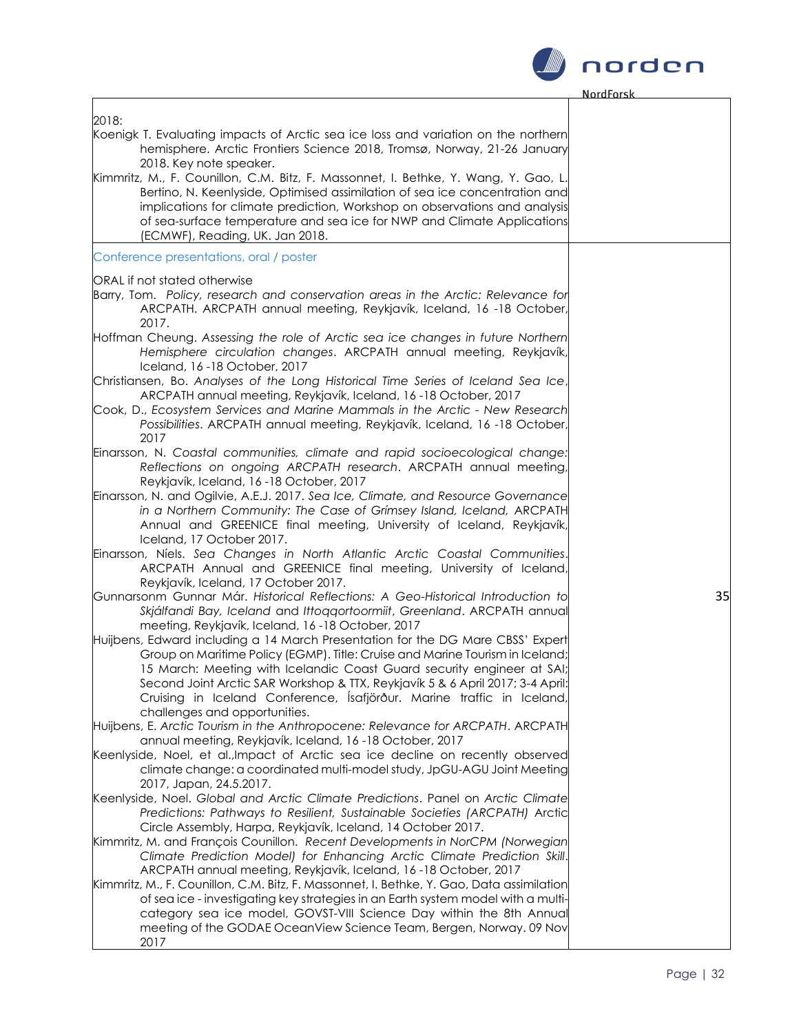

| 2018:                                                                                                                                                                                                                                                                                                                                                                                                                                   |    |
|-----------------------------------------------------------------------------------------------------------------------------------------------------------------------------------------------------------------------------------------------------------------------------------------------------------------------------------------------------------------------------------------------------------------------------------------|----|
| Koenigk T. Evaluating impacts of Arctic sea ice loss and variation on the northern<br>hemisphere. Arctic Frontiers Science 2018, Tromsø, Norway, 21-26 January<br>2018. Key note speaker.                                                                                                                                                                                                                                               |    |
| Kimmritz, M., F. Counillon, C.M. Bitz, F. Massonnet, I. Bethke, Y. Wang, Y. Gao, L.<br>Bertino, N. Keenlyside, Optimised assimilation of sea ice concentration and<br>implications for climate prediction, Workshop on observations and analysis<br>of sea-surface temperature and sea ice for NWP and Climate Applications<br>(ECMWF), Reading, UK. Jan 2018.                                                                          |    |
| Conference presentations, oral / poster                                                                                                                                                                                                                                                                                                                                                                                                 |    |
| ORAL if not stated otherwise<br>Barry, Tom. Policy, research and conservation areas in the Arctic: Relevance for<br>ARCPATH. ARCPATH annual meeting, Reykjavík, Iceland, 16 -18 October,<br>2017.                                                                                                                                                                                                                                       |    |
| Hoffman Cheung. Assessing the role of Arctic sea ice changes in future Northern<br>Hemisphere circulation changes. ARCPATH annual meeting, Reykjavík,<br>Iceland, 16-18 October, 2017                                                                                                                                                                                                                                                   |    |
| Christiansen, Bo. Analyses of the Long Historical Time Series of Iceland Sea Ice,<br>ARCPATH annual meeting, Reykjavík, Iceland, 16 -18 October, 2017<br>Cook, D., Ecosystem Services and Marine Mammals in the Arctic - New Research<br>Possibilities. ARCPATH annual meeting, Reykjavík, Iceland, 16 -18 October,<br>2017                                                                                                             |    |
| Einarsson, N. Coastal communities, climate and rapid socioecological change:<br>Reflections on ongoing ARCPATH research. ARCPATH annual meeting,<br>Reykjavík, Iceland, 16-18 October, 2017                                                                                                                                                                                                                                             |    |
| Einarsson, N. and Ogilvie, A.E.J. 2017. Sea Ice, Climate, and Resource Governance<br>in a Northern Community: The Case of Grímsey Island, Iceland, ARCPATH<br>Annual and GREENICE final meeting, University of Iceland, Reykjavík,<br>Iceland, 17 October 2017.                                                                                                                                                                         |    |
| Einarsson, Níels. Sea Changes in North Atlantic Arctic Coastal Communities.<br>ARCPATH Annual and GREENICE final meeting, University of Iceland,<br>Reykjavík, Iceland, 17 October 2017.                                                                                                                                                                                                                                                |    |
| Gunnarsonm Gunnar Már. Historical Reflections: A Geo-Historical Introduction to<br>Skjálfandi Bay, Iceland and Ittoqqortoormiit, Greenland. ARCPATH annual<br>meeting, Reykjavík, Iceland, 16-18 October, 2017                                                                                                                                                                                                                          | 35 |
| Huijbens, Edward including a 14 March Presentation for the DG Mare CBSS' Expert<br>Group on Maritime Policy (EGMP). Title: Cruise and Marine Tourism in Iceland;<br>15 March: Meeting with Icelandic Coast Guard security engineer at SAI;<br>Second Joint Arctic SAR Workshop & TTX, Reykjavík 5 & 6 April 2017; 3-4 April:<br>Cruising in Iceland Conference, İsafjörður. Marine traffic in Iceland,<br>challenges and opportunities. |    |
| Huijbens, E. Arctic Tourism in the Anthropocene: Relevance for ARCPATH. ARCPATH<br>annual meeting, Reykjavík, Iceland, 16-18 October, 2017                                                                                                                                                                                                                                                                                              |    |
| Keenlyside, Noel, et al., Impact of Arctic sea ice decline on recently observed<br>climate change: a coordinated multi-model study, JpGU-AGU Joint Meeting<br>2017, Japan, 24.5.2017.                                                                                                                                                                                                                                                   |    |
| Keenlyside, Noel. Global and Arctic Climate Predictions. Panel on Arctic Climate<br>Predictions: Pathways to Resilient, Sustainable Societies (ARCPATH) Arctic<br>Circle Assembly, Harpa, Reykjavík, Iceland, 14 October 2017.                                                                                                                                                                                                          |    |
| Kimmritz, M. and François Counillon. Recent Developments in NorCPM (Norwegian<br>Climate Prediction Model) for Enhancing Arctic Climate Prediction Skill.<br>ARCPATH annual meeting, Reykjavík, Iceland, 16-18 October, 2017                                                                                                                                                                                                            |    |
| Kimmritz, M., F. Counillon, C.M. Bitz, F. Massonnet, I. Bethke, Y. Gao, Data assimilation<br>of sea ice - investigating key strategies in an Earth system model with a multi-<br>category sea ice model, GOVST-VIII Science Day within the 8th Annual<br>meeting of the GODAE OceanView Science Team, Bergen, Norway. 09 Nov<br>2017                                                                                                    |    |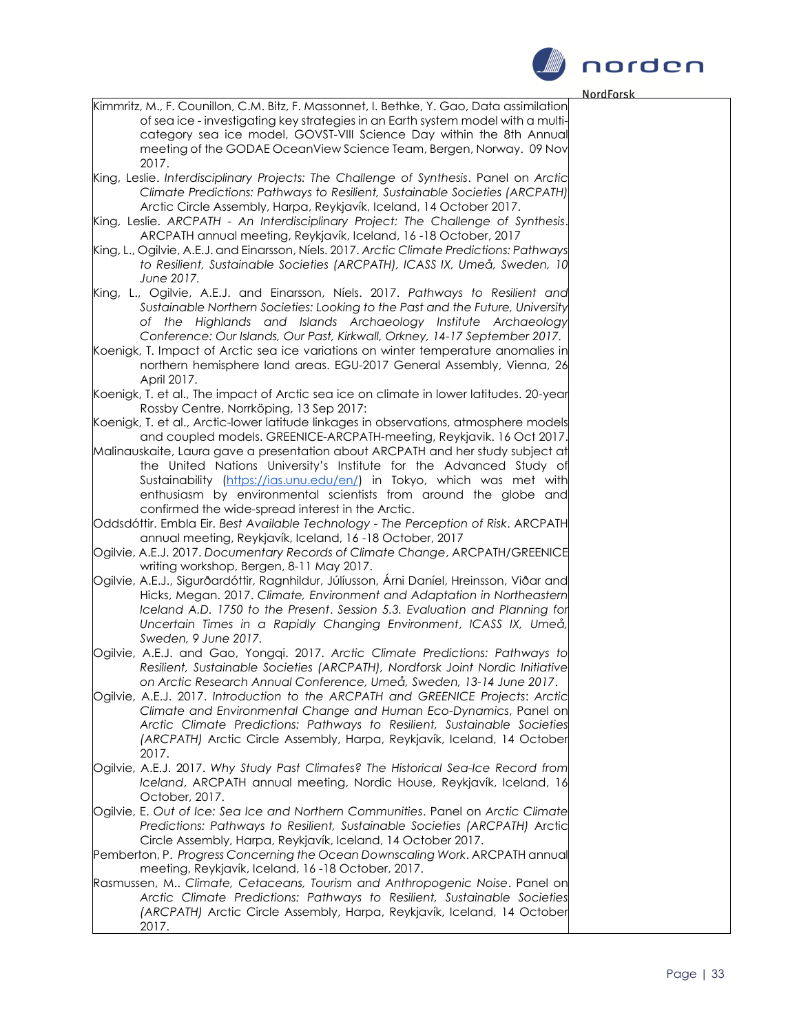

Kimmritz, M., F. Counillon, C.M. Bitz, F. Massonnet, I. Bethke, Y. Gao, Data assimilation of sea ice - investigating key strategies in an Earth system model with a multicategory sea ice model, GOVST-VIII Science Day within the 8th Annual meeting of the GODAE OceanView Science Team, Bergen, Norway. 09 Nov 2017. King, Leslie. *Interdisciplinary Projects: The Challenge of Synthesis*. Panel on *Arctic Climate Predictions: Pathways to Resilient, Sustainable Societies (ARCPATH)* Arctic Circle Assembly, Harpa, Reykjavík, Iceland, 14 October 2017. King, Leslie. *ARCPATH - An Interdisciplinary Project: The Challenge of Synthesis*. ARCPATH annual meeting, Reykjavík, Iceland, 16 -18 October, 2017 King, L., Ogilvie, A.E.J. and Einarsson, Níels. 2017. *Arctic Climate Predictions: Pathways to Resilient, Sustainable Societies (ARCPATH), ICASS IX, Umeå, Sweden, 10 June 2017.* King, L., Ogilvie, A.E.J. and Einarsson, Níels. 2017. *Pathways to Resilient and Sustainable Northern Societies: Looking to the Past and the Future, University of the Highlands and Islands Archaeology Institute Archaeology Conference: Our Islands, Our Past, Kirkwall, Orkney, 14-17 September 2017.* Koenigk, T. Impact of Arctic sea ice variations on winter temperature anomalies in northern hemisphere land areas. EGU-2017 General Assembly, Vienna, 26 April 2017. Koenigk, T. et al., The impact of Arctic sea ice on climate in lower latitudes. 20-year Rossby Centre, Norrköping, 13 Sep 2017: Koenigk, T. et al., Arctic-lower latitude linkages in observations, atmosphere models and coupled models. GREENICE-ARCPATH-meeting, Reykjavik. 16 Oct 2017. Malinauskaite, Laura gave a presentation about ARCPATH and her study subject at the United Nations University's Institute for the Advanced Study of Sustainability [\(https://ias.unu.edu/en/\)](https://ias.unu.edu/en/) in Tokyo, which was met with enthusiasm by environmental scientists from around the globe and confirmed the wide-spread interest in the Arctic.

Oddsdóttir. Embla Eir. *Best Available Technology - The Perception of Risk*. ARCPATH annual meeting, Reykjavík, Iceland, 16 -18 October, 2017

Ogilvie, A.E.J. 2017. *Documentary Records of Climate Change*, ARCPATH/GREENICE writing workshop, Bergen, 8-11 May 2017.

Ogilvie, A.E.J., Sigurðardóttir, Ragnhildur, Júlíusson, Árni Daníel, Hreinsson, Viðar and Hicks, Megan. 2017. *Climate, Environment and Adaptation in Northeastern Iceland A.D. 1750 to the Present*. *Session 5.3. Evaluation and Planning for Uncertain Times in a Rapidly Changing Environment*, *ICASS IX, Umeå, Sweden, 9 June 2017.*

Ogilvie, A.E.J. and Gao, Yongqi. 2017. *Arctic Climate Predictions: Pathways to Resilient, Sustainable Societies (ARCPATH), Nordforsk Joint Nordic Initiative on Arctic Research Annual Conference, Umeå, Sweden, 13-14 June 2017*.

Ogilvie, A.E.J. 2017. *Introduction to the ARCPATH and GREENICE Projects*: *Arctic Climate and Environmental Change and Human Eco-Dynamics*, Panel on *Arctic Climate Predictions: Pathways to Resilient, Sustainable Societies (ARCPATH)* Arctic Circle Assembly, Harpa, Reykjavík, Iceland, 14 October 2017.

Ogilvie, A.E.J. 2017. *Why Study Past Climates? The Historical Sea-Ice Record from Iceland*, ARCPATH annual meeting, Nordic House, Reykjavík, Iceland, 16 October, 2017.

Ogilvie, E. *Out of Ice: Sea Ice and Northern Communities*. Panel on *Arctic Climate Predictions: Pathways to Resilient, Sustainable Societies (ARCPATH)* Arctic Circle Assembly, Harpa, Reykjavík, Iceland, 14 October 2017.

Pemberton, P. *Progress Concerning the Ocean Downscaling Work*. ARCPATH annual meeting, Reykjavík, Iceland, 16 -18 October, 2017.

Rasmussen, M.. *Climate, Cetaceans, Tourism and Anthropogenic Noise*. Panel on *Arctic Climate Predictions: Pathways to Resilient, Sustainable Societies (ARCPATH)* Arctic Circle Assembly, Harpa, Reykjavík, Iceland, 14 October 2017.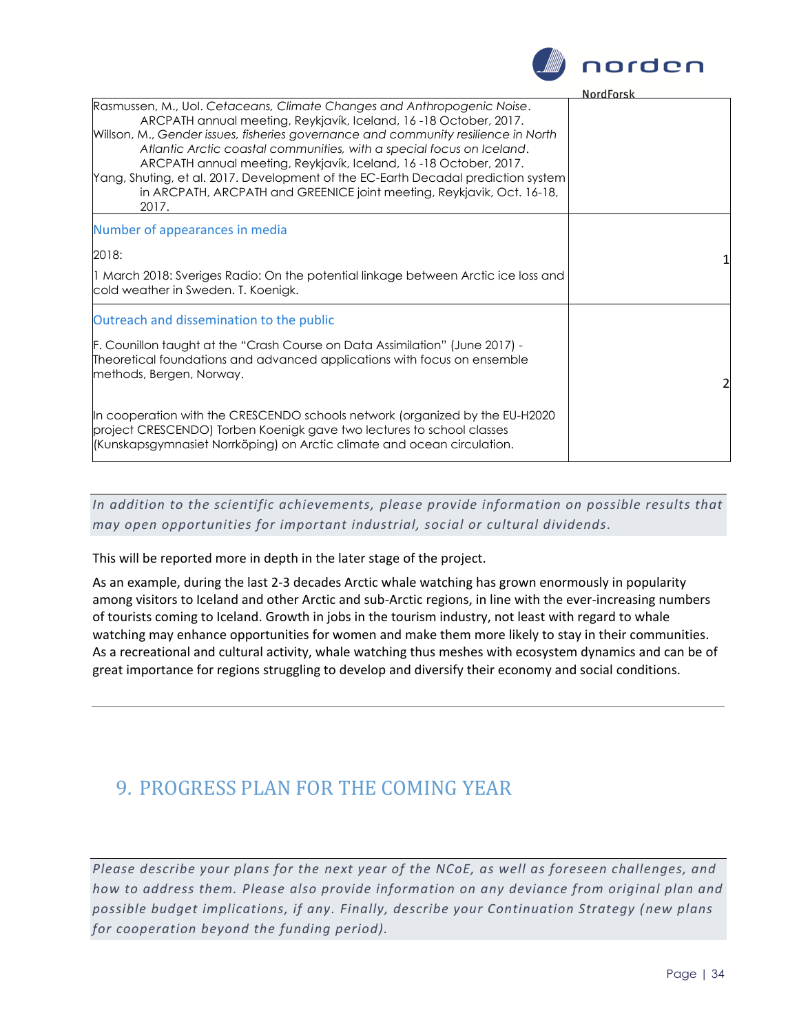

#### **NordForck**

|                                                                                                                                                                                                                                                                                                                                                                                                                                                                                                                                                        | . |
|--------------------------------------------------------------------------------------------------------------------------------------------------------------------------------------------------------------------------------------------------------------------------------------------------------------------------------------------------------------------------------------------------------------------------------------------------------------------------------------------------------------------------------------------------------|---|
| Rasmussen, M., Uol. Cetaceans, Climate Changes and Anthropogenic Noise.<br>ARCPATH annual meeting, Reykjavík, Iceland, 16-18 October, 2017.<br>Willson, M., Gender issues, fisheries governance and community resilience in North<br>Atlantic Arctic coastal communities, with a special focus on Iceland.<br>ARCPATH annual meeting, Reykjavík, Iceland, 16-18 October, 2017.<br>Yang, Shuting, et al. 2017. Development of the EC-Earth Decadal prediction system<br>in ARCPATH, ARCPATH and GREENICE joint meeting, Reykjavik, Oct. 16-18,<br>2017. |   |
| Number of appearances in media                                                                                                                                                                                                                                                                                                                                                                                                                                                                                                                         |   |
| 2018:                                                                                                                                                                                                                                                                                                                                                                                                                                                                                                                                                  |   |
| 1 March 2018: Sveriges Radio: On the potential linkage between Arctic ice loss and<br>cold weather in Sweden. T. Koenigk.                                                                                                                                                                                                                                                                                                                                                                                                                              |   |
| Outreach and dissemination to the public                                                                                                                                                                                                                                                                                                                                                                                                                                                                                                               |   |
| F. Counillon taught at the "Crash Course on Data Assimilation" (June 2017) -<br>Theoretical foundations and advanced applications with focus on ensemble<br>methods, Bergen, Norway.                                                                                                                                                                                                                                                                                                                                                                   | 2 |
| In cooperation with the CRESCENDO schools network (organized by the EU-H2020<br>project CRESCENDO) Torben Koenigk gave two lectures to school classes<br>(Kunskapsgymnasiet Norrköping) on Arctic climate and ocean circulation.                                                                                                                                                                                                                                                                                                                       |   |

*In addition to the scientific achievements, please provide information on possible results that may open opportunities for important industrial, soc ial or cultural dividends.*

This will be reported more in depth in the later stage of the project.

As an example, during the last 2-3 decades Arctic whale watching has grown enormously in popularity among visitors to Iceland and other Arctic and sub-Arctic regions, in line with the ever-increasing numbers of tourists coming to Iceland. Growth in jobs in the tourism industry, not least with regard to whale watching may enhance opportunities for women and make them more likely to stay in their communities. As a recreational and cultural activity, whale watching thus meshes with ecosystem dynamics and can be of great importance for regions struggling to develop and diversify their economy and social conditions.

# 9. PROGRESS PLAN FOR THE COMING YEAR

*Please describe your plans for the next year of the NCoE, as well as foreseen challenges, and how to address them. Please also provide information on any deviance from original plan and possible budget implications, if any. Finally, describe your Continuation Strategy (new plans for cooperation beyond the funding period).*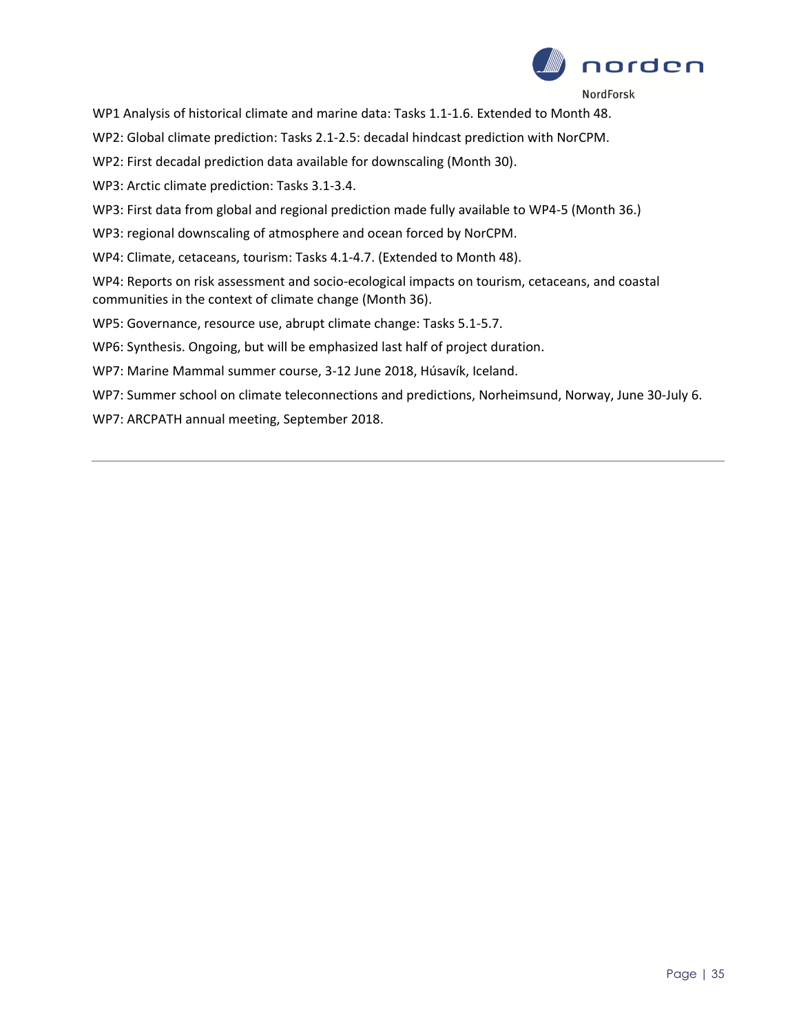

WP1 Analysis of historical climate and marine data: Tasks 1.1-1.6. Extended to Month 48.

WP2: Global climate prediction: Tasks 2.1-2.5: decadal hindcast prediction with NorCPM.

WP2: First decadal prediction data available for downscaling (Month 30).

WP3: Arctic climate prediction: Tasks 3.1-3.4.

WP3: First data from global and regional prediction made fully available to WP4-5 (Month 36.)

WP3: regional downscaling of atmosphere and ocean forced by NorCPM.

WP4: Climate, cetaceans, tourism: Tasks 4.1-4.7. (Extended to Month 48).

WP4: Reports on risk assessment and socio-ecological impacts on tourism, cetaceans, and coastal communities in the context of climate change (Month 36).

WP5: Governance, resource use, abrupt climate change: Tasks 5.1-5.7.

WP6: Synthesis. Ongoing, but will be emphasized last half of project duration.

WP7: Marine Mammal summer course, 3-12 June 2018, Húsavík, Iceland.

WP7: Summer school on climate teleconnections and predictions, Norheimsund, Norway, June 30-July 6.

WP7: ARCPATH annual meeting, September 2018.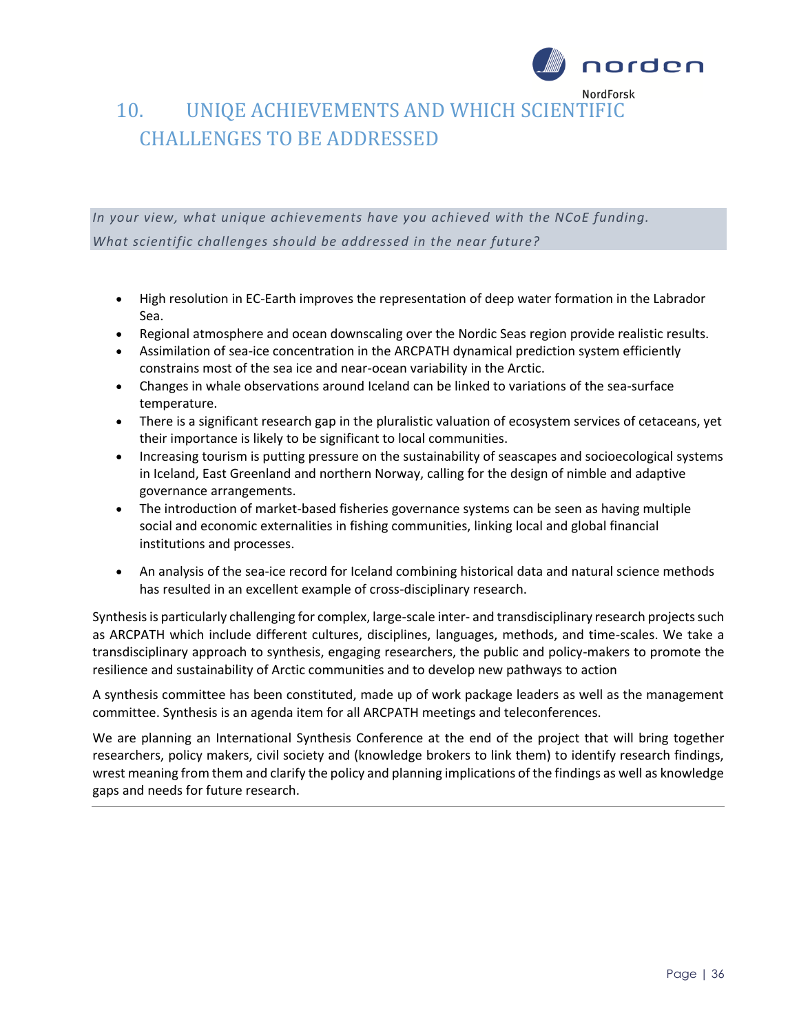

# 10. UNIQE ACHIEVEMENTS AND WHICH SCIENTIFIC CHALLENGES TO BE ADDRESSED

*In your view, what unique achievements have you achieved with the NCoE funding. What scientific challenges should be addressed in the near future?* 

- High resolution in EC-Earth improves the representation of deep water formation in the Labrador Sea.
- Regional atmosphere and ocean downscaling over the Nordic Seas region provide realistic results.
- Assimilation of sea-ice concentration in the ARCPATH dynamical prediction system efficiently constrains most of the sea ice and near-ocean variability in the Arctic.
- Changes in whale observations around Iceland can be linked to variations of the sea-surface temperature.
- There is a significant research gap in the pluralistic valuation of ecosystem services of cetaceans, yet their importance is likely to be significant to local communities.
- Increasing tourism is putting pressure on the sustainability of seascapes and socioecological systems in Iceland, East Greenland and northern Norway, calling for the design of nimble and adaptive governance arrangements.
- The introduction of market-based fisheries governance systems can be seen as having multiple social and economic externalities in fishing communities, linking local and global financial institutions and processes.
- An analysis of the sea-ice record for Iceland combining historical data and natural science methods has resulted in an excellent example of cross-disciplinary research.

Synthesis is particularly challenging for complex, large-scale inter- and transdisciplinary research projects such as ARCPATH which include different cultures, disciplines, languages, methods, and time-scales. We take a transdisciplinary approach to synthesis, engaging researchers, the public and policy-makers to promote the resilience and sustainability of Arctic communities and to develop new pathways to action

A synthesis committee has been constituted, made up of work package leaders as well as the management committee. Synthesis is an agenda item for all ARCPATH meetings and teleconferences.

We are planning an International Synthesis Conference at the end of the project that will bring together researchers, policy makers, civil society and (knowledge brokers to link them) to identify research findings, wrest meaning from them and clarify the policy and planning implications of the findings as well as knowledge gaps and needs for future research.